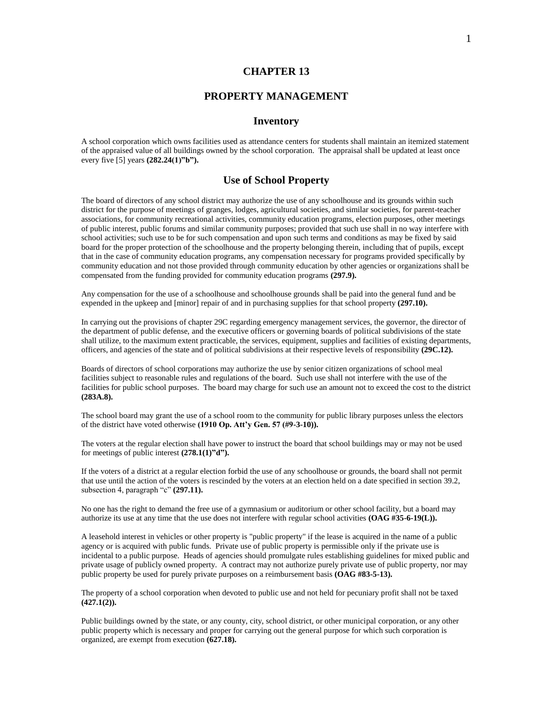# **CHAPTER 13**

# **PROPERTY MANAGEMENT**

## **Inventory**

A school corporation which owns facilities used as attendance centers for students shall maintain an itemized statement of the appraised value of all buildings owned by the school corporation. The appraisal shall be updated at least once every five [5] years **(282.24(1)"b").**

# **Use of School Property**

The board of directors of any school district may authorize the use of any schoolhouse and its grounds within such district for the purpose of meetings of granges, lodges, agricultural societies, and similar societies, for parent-teacher associations, for community recreational activities, community education programs, election purposes, other meetings of public interest, public forums and similar community purposes; provided that such use shall in no way interfere with school activities; such use to be for such compensation and upon such terms and conditions as may be fixed by said board for the proper protection of the schoolhouse and the property belonging therein, including that of pupils, except that in the case of community education programs, any compensation necessary for programs provided specifically by community education and not those provided through community education by other agencies or organizations shall be compensated from the funding provided for community education programs **(297.9).**

Any compensation for the use of a schoolhouse and schoolhouse grounds shall be paid into the general fund and be expended in the upkeep and [minor] repair of and in purchasing supplies for that school property **(297.10).**

In carrying out the provisions of chapter 29C regarding emergency management services, the governor, the director of the department of public defense, and the executive officers or governing boards of political subdivisions of the state shall utilize, to the maximum extent practicable, the services, equipment, supplies and facilities of existing departments, officers, and agencies of the state and of political subdivisions at their respective levels of responsibility **(29C.12).**

Boards of directors of school corporations may authorize the use by senior citizen organizations of school meal facilities subject to reasonable rules and regulations of the board. Such use shall not interfere with the use of the facilities for public school purposes. The board may charge for such use an amount not to exceed the cost to the district **(283A.8).**

The school board may grant the use of a school room to the community for public library purposes unless the electors of the district have voted otherwise **(1910 Op. Att'y Gen. 57 (#9-3-10)).**

The voters at the regular election shall have power to instruct the board that school buildings may or may not be used for meetings of public interest **(278.1(1)"d").**

If the voters of a district at a regular election forbid the use of any schoolhouse or grounds, the board shall not permit that use until the action of the voters is rescinded by the voters at an election held on a date specified in section 39.2, subsection 4, paragraph "c" **(297.11).**

No one has the right to demand the free use of a gymnasium or auditorium or other school facility, but a board may authorize its use at any time that the use does not interfere with regular school activities **(OAG #35-6-19(L)).**

A leasehold interest in vehicles or other property is "public property" if the lease is acquired in the name of a public agency or is acquired with public funds. Private use of public property is permissible only if the private use is incidental to a public purpose. Heads of agencies should promulgate rules establishing guidelines for mixed public and private usage of publicly owned property. A contract may not authorize purely private use of public property, nor may public property be used for purely private purposes on a reimbursement basis **(OAG #83-5-13).**

The property of a school corporation when devoted to public use and not held for pecuniary profit shall not be taxed **(427.1(2)).**

Public buildings owned by the state, or any county, city, school district, or other municipal corporation, or any other public property which is necessary and proper for carrying out the general purpose for which such corporation is organized, are exempt from execution **(627.18).**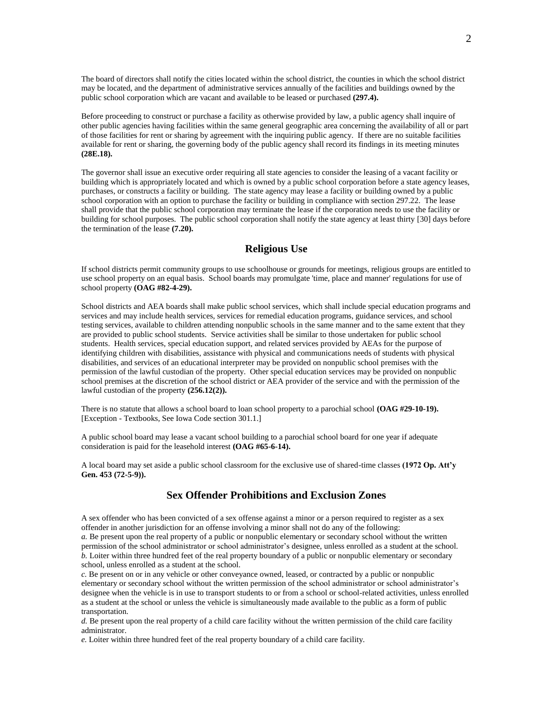The board of directors shall notify the cities located within the school district, the counties in which the school district may be located, and the department of administrative services annually of the facilities and buildings owned by the public school corporation which are vacant and available to be leased or purchased **(297.4).**

Before proceeding to construct or purchase a facility as otherwise provided by law, a public agency shall inquire of other public agencies having facilities within the same general geographic area concerning the availability of all or part of those facilities for rent or sharing by agreement with the inquiring public agency. If there are no suitable facilities available for rent or sharing, the governing body of the public agency shall record its findings in its meeting minutes **(28E.18).**

The governor shall issue an executive order requiring all state agencies to consider the leasing of a vacant facility or building which is appropriately located and which is owned by a public school corporation before a state agency leases, purchases, or constructs a facility or building. The state agency may lease a facility or building owned by a public school corporation with an option to purchase the facility or building in compliance with section 297.22. The lease shall provide that the public school corporation may terminate the lease if the corporation needs to use the facility or building for school purposes. The public school corporation shall notify the state agency at least thirty [30] days before the termination of the lease **(7.20).**

## **Religious Use**

If school districts permit community groups to use schoolhouse or grounds for meetings, religious groups are entitled to use school property on an equal basis. School boards may promulgate 'time, place and manner' regulations for use of school property **(OAG #82-4-29).**

School districts and AEA boards shall make public school services, which shall include special education programs and services and may include health services, services for remedial education programs, guidance services, and school testing services, available to children attending nonpublic schools in the same manner and to the same extent that they are provided to public school students. Service activities shall be similar to those undertaken for public school students. Health services, special education support, and related services provided by AEAs for the purpose of identifying children with disabilities, assistance with physical and communications needs of students with physical disabilities, and services of an educational interpreter may be provided on nonpublic school premises with the permission of the lawful custodian of the property. Other special education services may be provided on nonpublic school premises at the discretion of the school district or AEA provider of the service and with the permission of the lawful custodian of the property **(256.12(2)).**

There is no statute that allows a school board to loan school property to a parochial school **(OAG #29-10-19).** [Exception - Textbooks, See Iowa Code section 301.1.]

A public school board may lease a vacant school building to a parochial school board for one year if adequate consideration is paid for the leasehold interest **(OAG #65-6-14).**

A local board may set aside a public school classroom for the exclusive use of shared-time classes **(1972 Op. Att'y Gen. 453 (72-5-9)).**

# **Sex Offender Prohibitions and Exclusion Zones**

A sex offender who has been convicted of a sex offense against a minor or a person required to register as a sex offender in another jurisdiction for an offense involving a minor shall not do any of the following: *a.* Be present upon the real property of a public or nonpublic elementary or secondary school without the written permission of the school administrator or school administrator's designee, unless enrolled as a student at the school. *b.* Loiter within three hundred feet of the real property boundary of a public or nonpublic elementary or secondary school, unless enrolled as a student at the school.

*c.* Be present on or in any vehicle or other conveyance owned, leased, or contracted by a public or nonpublic elementary or secondary school without the written permission of the school administrator or school administrator's designee when the vehicle is in use to transport students to or from a school or school-related activities, unless enrolled as a student at the school or unless the vehicle is simultaneously made available to the public as a form of public transportation.

*d.* Be present upon the real property of a child care facility without the written permission of the child care facility administrator.

*e.* Loiter within three hundred feet of the real property boundary of a child care facility.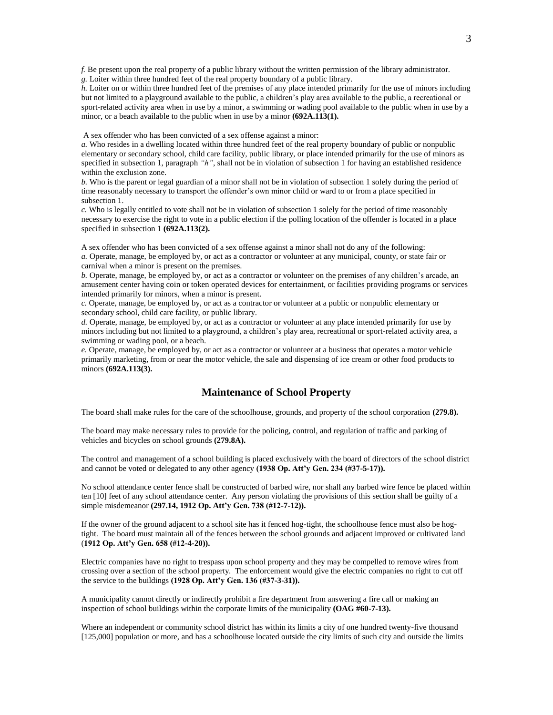*f.* Be present upon the real property of a public library without the written permission of the library administrator. *g.* Loiter within three hundred feet of the real property boundary of a public library.

*h.* Loiter on or within three hundred feet of the premises of any place intended primarily for the use of minors including but not limited to a playground available to the public, a children's play area available to the public, a recreational or sport-related activity area when in use by a minor, a swimming or wading pool available to the public when in use by a minor, or a beach available to the public when in use by a minor **(692A.113(1).**

A sex offender who has been convicted of a sex offense against a minor:

*a.* Who resides in a dwelling located within three hundred feet of the real property boundary of public or nonpublic elementary or secondary school, child care facility, public library, or place intended primarily for the use of minors as specified in subsection 1, paragraph *"h"*, shall not be in violation of subsection 1 for having an established residence within the exclusion zone.

*b.* Who is the parent or legal guardian of a minor shall not be in violation of subsection 1 solely during the period of time reasonably necessary to transport the offender's own minor child or ward to or from a place specified in subsection 1.

*c.* Who is legally entitled to vote shall not be in violation of subsection 1 solely for the period of time reasonably necessary to exercise the right to vote in a public election if the polling location of the offender is located in a place specified in subsection 1 **(692A.113(2).**

A sex offender who has been convicted of a sex offense against a minor shall not do any of the following: *a.* Operate, manage, be employed by, or act as a contractor or volunteer at any municipal, county, or state fair or carnival when a minor is present on the premises.

*b.* Operate, manage, be employed by, or act as a contractor or volunteer on the premises of any children's arcade, an amusement center having coin or token operated devices for entertainment, or facilities providing programs or services intended primarily for minors, when a minor is present.

*c.* Operate, manage, be employed by, or act as a contractor or volunteer at a public or nonpublic elementary or secondary school, child care facility, or public library.

*d.* Operate, manage, be employed by, or act as a contractor or volunteer at any place intended primarily for use by minors including but not limited to a playground, a children's play area, recreational or sport-related activity area, a swimming or wading pool, or a beach.

*e.* Operate, manage, be employed by, or act as a contractor or volunteer at a business that operates a motor vehicle primarily marketing, from or near the motor vehicle, the sale and dispensing of ice cream or other food products to minors **(692A.113(3).**

## **Maintenance of School Property**

The board shall make rules for the care of the schoolhouse, grounds, and property of the school corporation **(279.8).**

The board may make necessary rules to provide for the policing, control, and regulation of traffic and parking of vehicles and bicycles on school grounds **(279.8A).**

The control and management of a school building is placed exclusively with the board of directors of the school district and cannot be voted or delegated to any other agency **(1938 Op. Att'y Gen. 234 (#37-5-17)).**

No school attendance center fence shall be constructed of barbed wire, nor shall any barbed wire fence be placed within ten [10] feet of any school attendance center. Any person violating the provisions of this section shall be guilty of a simple misdemeanor **(297.14, 1912 Op. Att'y Gen. 738 (#12-7-12)).**

If the owner of the ground adjacent to a school site has it fenced hog-tight, the schoolhouse fence must also be hogtight. The board must maintain all of the fences between the school grounds and adjacent improved or cultivated land (**1912 Op. Att'y Gen. 658 (#12-4-20)).**

Electric companies have no right to trespass upon school property and they may be compelled to remove wires from crossing over a section of the school property. The enforcement would give the electric companies no right to cut off the service to the buildings **(1928 Op. Att'y Gen. 136 (#37-3-31)).**

A municipality cannot directly or indirectly prohibit a fire department from answering a fire call or making an inspection of school buildings within the corporate limits of the municipality **(OAG #60-7-13).**

Where an independent or community school district has within its limits a city of one hundred twenty-five thousand [125,000] population or more, and has a schoolhouse located outside the city limits of such city and outside the limits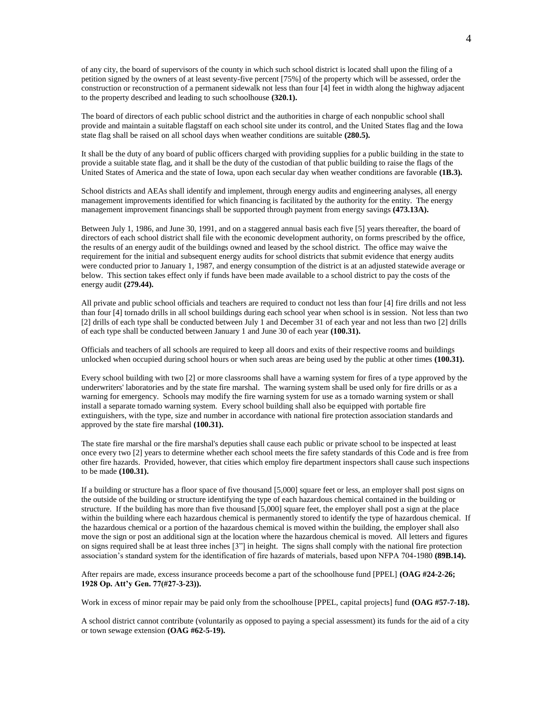of any city, the board of supervisors of the county in which such school district is located shall upon the filing of a petition signed by the owners of at least seventy-five percent [75%] of the property which will be assessed, order the construction or reconstruction of a permanent sidewalk not less than four [4] feet in width along the highway adjacent to the property described and leading to such schoolhouse **(320.1).**

The board of directors of each public school district and the authorities in charge of each nonpublic school shall provide and maintain a suitable flagstaff on each school site under its control, and the United States flag and the Iowa state flag shall be raised on all school days when weather conditions are suitable **(280.5).**

It shall be the duty of any board of public officers charged with providing supplies for a public building in the state to provide a suitable state flag, and it shall be the duty of the custodian of that public building to raise the flags of the United States of America and the state of Iowa, upon each secular day when weather conditions are favorable **(1B.3).**

School districts and AEAs shall identify and implement, through energy audits and engineering analyses, all energy management improvements identified for which financing is facilitated by the authority for the entity. The energy management improvement financings shall be supported through payment from energy savings **(473.13A).**

Between July 1, 1986, and June 30, 1991, and on a staggered annual basis each five [5] years thereafter, the board of directors of each school district shall file with the economic development authority, on forms prescribed by the office, the results of an energy audit of the buildings owned and leased by the school district. The office may waive the requirement for the initial and subsequent energy audits for school districts that submit evidence that energy audits were conducted prior to January 1, 1987, and energy consumption of the district is at an adjusted statewide average or below. This section takes effect only if funds have been made available to a school district to pay the costs of the energy audit **(279.44).**

All private and public school officials and teachers are required to conduct not less than four [4] fire drills and not less than four [4] tornado drills in all school buildings during each school year when school is in session. Not less than two [2] drills of each type shall be conducted between July 1 and December 31 of each year and not less than two [2] drills of each type shall be conducted between January 1 and June 30 of each year **(100.31).**

Officials and teachers of all schools are required to keep all doors and exits of their respective rooms and buildings unlocked when occupied during school hours or when such areas are being used by the public at other times **(100.31).**

Every school building with two [2] or more classrooms shall have a warning system for fires of a type approved by the underwriters' laboratories and by the state fire marshal. The warning system shall be used only for fire drills or as a warning for emergency. Schools may modify the fire warning system for use as a tornado warning system or shall install a separate tornado warning system. Every school building shall also be equipped with portable fire extinguishers, with the type, size and number in accordance with national fire protection association standards and approved by the state fire marshal **(100.31).**

The state fire marshal or the fire marshal's deputies shall cause each public or private school to be inspected at least once every two [2] years to determine whether each school meets the fire safety standards of this Code and is free from other fire hazards. Provided, however, that cities which employ fire department inspectors shall cause such inspections to be made **(100.31).**

If a building or structure has a floor space of five thousand [5,000] square feet or less, an employer shall post signs on the outside of the building or structure identifying the type of each hazardous chemical contained in the building or structure. If the building has more than five thousand [5,000] square feet, the employer shall post a sign at the place within the building where each hazardous chemical is permanently stored to identify the type of hazardous chemical. If the hazardous chemical or a portion of the hazardous chemical is moved within the building, the employer shall also move the sign or post an additional sign at the location where the hazardous chemical is moved. All letters and figures on signs required shall be at least three inches [3"] in height. The signs shall comply with the national fire protection association's standard system for the identification of fire hazards of materials, based upon NFPA 704-1980 **(89B.14).**

After repairs are made, excess insurance proceeds become a part of the schoolhouse fund [PPEL] **(OAG #24-2-26; 1928 Op. Att'y Gen. 77(#27-3-23)).**

Work in excess of minor repair may be paid only from the schoolhouse [PPEL, capital projects] fund **(OAG #57-7-18).**

A school district cannot contribute (voluntarily as opposed to paying a special assessment) its funds for the aid of a city or town sewage extension **(OAG #62-5-19).**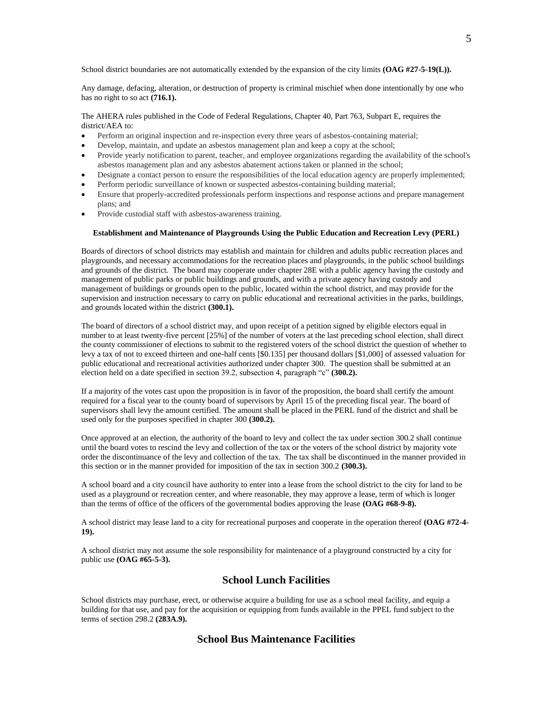School district boundaries are not automatically extended by the expansion of the city limits **(OAG #27-5-19(L)).** 

Any damage, defacing, alteration, or destruction of property is criminal mischief when done intentionally by one who has no right to so act **(716.1).**

The AHERA rules published in the Code of Federal Regulations, Chapter 40, Part 763, Subpart E, requires the district/AEA to:

- Perform an original inspection and re-inspection every three years of asbestos-containing material;
- Develop, maintain, and update an asbestos management plan and keep a copy at the school;
- Provide yearly notification to parent, teacher, and employee organizations regarding the availability of the school's asbestos management plan and any asbestos abatement actions taken or planned in the school;
- Designate a contact person to ensure the responsibilities of the local education agency are properly implemented;
- Perform periodic surveillance of known or suspected asbestos-containing building material;
- Ensure that properly-accredited professionals perform inspections and response actions and prepare management plans; and
- Provide custodial staff with asbestos-awareness training.

#### **Establishment and Maintenance of Playgrounds Using the Public Education and Recreation Levy (PERL)**

Boards of directors of school districts may establish and maintain for children and adults public recreation places and playgrounds, and necessary accommodations for the recreation places and playgrounds, in the public school buildings and grounds of the district. The board may cooperate under chapter 28E with a public agency having the custody and management of public parks or public buildings and grounds, and with a private agency having custody and management of buildings or grounds open to the public, located within the school district, and may provide for the supervision and instruction necessary to carry on public educational and recreational activities in the parks, buildings, and grounds located within the district **(300.1).**

The board of directors of a school district may, and upon receipt of a petition signed by eligible electors equal in number to at least twenty-five percent [25%] of the number of voters at the last preceding school election, shall direct the county commissioner of elections to submit to the registered voters of the school district the question of whether to levy a tax of not to exceed thirteen and one-half cents [\$0.135] per thousand dollars [\$1,000] of assessed valuation for public educational and recreational activities authorized under chapter 300. The question shall be submitted at an election held on a date specified in section 39.2, subsection 4, paragraph "c" **(300.2).**

If a majority of the votes cast upon the proposition is in favor of the proposition, the board shall certify the amount required for a fiscal year to the county board of supervisors by April 15 of the preceding fiscal year. The board of supervisors shall levy the amount certified. The amount shall be placed in the PERL fund of the district and shall be used only for the purposes specified in chapter 300 **(300.2).**

Once approved at an election, the authority of the board to levy and collect the tax under section 300.2 shall continue until the board votes to rescind the levy and collection of the tax or the voters of the school district by majority vote order the discontinuance of the levy and collection of the tax. The tax shall be discontinued in the manner provided in this section or in the manner provided for imposition of the tax in section 300.2 **(300.3).**

A school board and a city council have authority to enter into a lease from the school district to the city for land to be used as a playground or recreation center, and where reasonable, they may approve a lease, term of which is longer than the terms of office of the officers of the governmental bodies approving the lease **(OAG #68-9-8).**

A school district may lease land to a city for recreational purposes and cooperate in the operation thereof **(OAG #72-4- 19).**

A school district may not assume the sole responsibility for maintenance of a playground constructed by a city for public use **(OAG #65-5-3).**

# **School Lunch Facilities**

School districts may purchase, erect, or otherwise acquire a building for use as a school meal facility, and equip a building for that use, and pay for the acquisition or equipping from funds available in the PPEL fund subject to the terms of section 298.2 **(283A.9).**

# **School Bus Maintenance Facilities**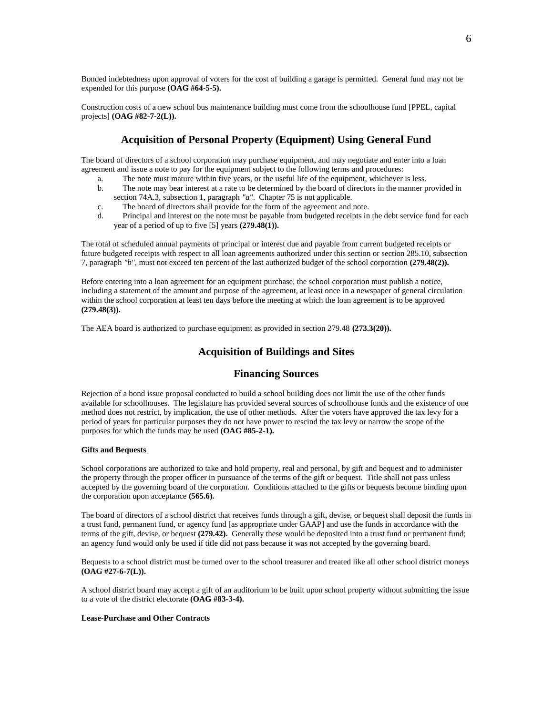Bonded indebtedness upon approval of voters for the cost of building a garage is permitted. General fund may not be expended for this purpose **(OAG #64-5-5).**

Construction costs of a new school bus maintenance building must come from the schoolhouse fund [PPEL, capital projects] **(OAG #82-7-2(L)).**

# **Acquisition of Personal Property (Equipment) Using General Fund**

The board of directors of a school corporation may purchase equipment, and may negotiate and enter into a loan agreement and issue a note to pay for the equipment subject to the following terms and procedures:

- a. The note must mature within five years, or the useful life of the equipment, whichever is less.
- b. The note may bear interest at a rate to be determined by the board of directors in the manner provided in section 74A.3, subsection 1, paragraph *"a"*. Chapter 75 is not applicable.
- c. The board of directors shall provide for the form of the agreement and note.
- d. Principal and interest on the note must be payable from budgeted receipts in the debt service fund for each year of a period of up to five [5] years **(279.48(1)).**

The total of scheduled annual payments of principal or interest due and payable from current budgeted receipts or future budgeted receipts with respect to all loan agreements authorized under this section or section 285.10, subsection 7, paragraph *"b"*, must not exceed ten percent of the last authorized budget of the school corporation **(279.48(2)).**

Before entering into a loan agreement for an equipment purchase, the school corporation must publish a notice, including a statement of the amount and purpose of the agreement, at least once in a newspaper of general circulation within the school corporation at least ten days before the meeting at which the loan agreement is to be approved **(279.48(3)).**

The AEA board is authorized to purchase equipment as provided in section 279.48 **(273.3(20)).**

# **Acquisition of Buildings and Sites**

## **Financing Sources**

Rejection of a bond issue proposal conducted to build a school building does not limit the use of the other funds available for schoolhouses. The legislature has provided several sources of schoolhouse funds and the existence of one method does not restrict, by implication, the use of other methods. After the voters have approved the tax levy for a period of years for particular purposes they do not have power to rescind the tax levy or narrow the scope of the purposes for which the funds may be used **(OAG #85-2-1).**

#### **Gifts and Bequests**

School corporations are authorized to take and hold property, real and personal, by gift and bequest and to administer the property through the proper officer in pursuance of the terms of the gift or bequest. Title shall not pass unless accepted by the governing board of the corporation. Conditions attached to the gifts or bequests become binding upon the corporation upon acceptance **(565.6).**

The board of directors of a school district that receives funds through a gift, devise, or bequest shall deposit the funds in a trust fund, permanent fund, or agency fund [as appropriate under GAAP] and use the funds in accordance with the terms of the gift, devise, or bequest **(279.42).** Generally these would be deposited into a trust fund or permanent fund; an agency fund would only be used if title did not pass because it was not accepted by the governing board.

Bequests to a school district must be turned over to the school treasurer and treated like all other school district moneys **(OAG #27-6-7(L)).**

A school district board may accept a gift of an auditorium to be built upon school property without submitting the issue to a vote of the district electorate **(OAG #83-3-4).**

#### **Lease-Purchase and Other Contracts**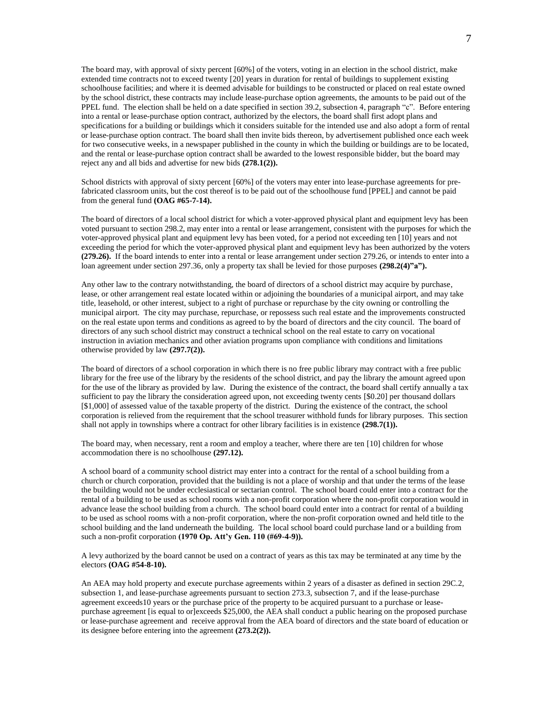The board may, with approval of sixty percent [60%] of the voters, voting in an election in the school district, make extended time contracts not to exceed twenty [20] years in duration for rental of buildings to supplement existing schoolhouse facilities; and where it is deemed advisable for buildings to be constructed or placed on real estate owned by the school district, these contracts may include lease-purchase option agreements, the amounts to be paid out of the PPEL fund. The election shall be held on a date specified in section 39.2, subsection 4, paragraph "c". Before entering into a rental or lease-purchase option contract, authorized by the electors, the board shall first adopt plans and specifications for a building or buildings which it considers suitable for the intended use and also adopt a form of rental or lease-purchase option contract. The board shall then invite bids thereon, by advertisement published once each week for two consecutive weeks, in a newspaper published in the county in which the building or buildings are to be located, and the rental or lease-purchase option contract shall be awarded to the lowest responsible bidder, but the board may reject any and all bids and advertise for new bids **(278.1(2)).**

School districts with approval of sixty percent [60%] of the voters may enter into lease-purchase agreements for prefabricated classroom units, but the cost thereof is to be paid out of the schoolhouse fund [PPEL] and cannot be paid from the general fund **(OAG #65-7-14).**

The board of directors of a local school district for which a voter-approved physical plant and equipment levy has been voted pursuant to section 298.2, may enter into a rental or lease arrangement, consistent with the purposes for which the voter-approved physical plant and equipment levy has been voted, for a period not exceeding ten [10] years and not exceeding the period for which the voter-approved physical plant and equipment levy has been authorized by the voters **(279.26).** If the board intends to enter into a rental or lease arrangement under section 279.26, or intends to enter into a loan agreement under section 297.36, only a property tax shall be levied for those purposes **(298.2(4)"a").**

Any other law to the contrary notwithstanding, the board of directors of a school district may acquire by purchase, lease, or other arrangement real estate located within or adjoining the boundaries of a municipal airport, and may take title, leasehold, or other interest, subject to a right of purchase or repurchase by the city owning or controlling the municipal airport. The city may purchase, repurchase, or repossess such real estate and the improvements constructed on the real estate upon terms and conditions as agreed to by the board of directors and the city council. The board of directors of any such school district may construct a technical school on the real estate to carry on vocational instruction in aviation mechanics and other aviation programs upon compliance with conditions and limitations otherwise provided by law **(297.7(2)).**

The board of directors of a school corporation in which there is no free public library may contract with a free public library for the free use of the library by the residents of the school district, and pay the library the amount agreed upon for the use of the library as provided by law. During the existence of the contract, the board shall certify annually a tax sufficient to pay the library the consideration agreed upon, not exceeding twenty cents [\$0.20] per thousand dollars [\$1,000] of assessed value of the taxable property of the district. During the existence of the contract, the school corporation is relieved from the requirement that the school treasurer withhold funds for library purposes. This section shall not apply in townships where a contract for other library facilities is in existence **(298.7(1)).**

The board may, when necessary, rent a room and employ a teacher, where there are ten [10] children for whose accommodation there is no schoolhouse **(297.12).**

A school board of a community school district may enter into a contract for the rental of a school building from a church or church corporation, provided that the building is not a place of worship and that under the terms of the lease the building would not be under ecclesiastical or sectarian control. The school board could enter into a contract for the rental of a building to be used as school rooms with a non-profit corporation where the non-profit corporation would in advance lease the school building from a church. The school board could enter into a contract for rental of a building to be used as school rooms with a non-profit corporation, where the non-profit corporation owned and held title to the school building and the land underneath the building. The local school board could purchase land or a building from such a non-profit corporation **(1970 Op. Att'y Gen. 110 (#69-4-9)).**

A levy authorized by the board cannot be used on a contract of years as this tax may be terminated at any time by the electors **(OAG #54-8-10).**

An AEA may hold property and execute purchase agreements within 2 years of a disaster as defined in section 29C.2, subsection 1, and lease-purchase agreements pursuant to section 273.3, subsection 7, and if the lease-purchase agreement exceeds10 years or the purchase price of the property to be acquired pursuant to a purchase or leasepurchase agreement [is equal to or]exceeds \$25,000, the AEA shall conduct a public hearing on the proposed purchase or lease-purchase agreement and receive approval from the AEA board of directors and the state board of education or its designee before entering into the agreement **(273.2(2)).**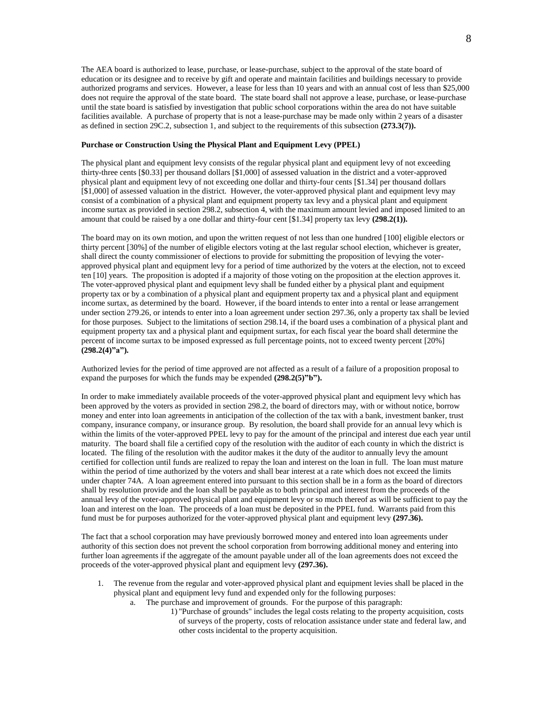The AEA board is authorized to lease, purchase, or lease-purchase, subject to the approval of the state board of education or its designee and to receive by gift and operate and maintain facilities and buildings necessary to provide authorized programs and services. However, a lease for less than 10 years and with an annual cost of less than \$25,000 does not require the approval of the state board. The state board shall not approve a lease, purchase, or lease-purchase until the state board is satisfied by investigation that public school corporations within the area do not have suitable facilities available. A purchase of property that is not a lease-purchase may be made only within 2 years of a disaster as defined in section 29C.2, subsection 1, and subject to the requirements of this subsection **(273.3(7)).**

#### **Purchase or Construction Using the Physical Plant and Equipment Levy (PPEL)**

The physical plant and equipment levy consists of the regular physical plant and equipment levy of not exceeding thirty-three cents [\$0.33] per thousand dollars [\$1,000] of assessed valuation in the district and a voter-approved physical plant and equipment levy of not exceeding one dollar and thirty-four cents [\$1.34] per thousand dollars [\$1,000] of assessed valuation in the district. However, the voter-approved physical plant and equipment levy may consist of a combination of a physical plant and equipment property tax levy and a physical plant and equipment income surtax as provided in section 298.2, subsection 4, with the maximum amount levied and imposed limited to an amount that could be raised by a one dollar and thirty-four cent [\$1.34] property tax levy **(298.2(1)).**

The board may on its own motion, and upon the written request of not less than one hundred [100] eligible electors or thirty percent [30%] of the number of eligible electors voting at the last regular school election, whichever is greater, shall direct the county commissioner of elections to provide for submitting the proposition of levying the voterapproved physical plant and equipment levy for a period of time authorized by the voters at the election, not to exceed ten [10] years. The proposition is adopted if a majority of those voting on the proposition at the election approves it. The voter-approved physical plant and equipment levy shall be funded either by a physical plant and equipment property tax or by a combination of a physical plant and equipment property tax and a physical plant and equipment income surtax, as determined by the board. However, if the board intends to enter into a rental or lease arrangement under section 279.26, or intends to enter into a loan agreement under section 297.36, only a property tax shall be levied for those purposes. Subject to the limitations of section 298.14, if the board uses a combination of a physical plant and equipment property tax and a physical plant and equipment surtax, for each fiscal year the board shall determine the percent of income surtax to be imposed expressed as full percentage points, not to exceed twenty percent [20%] **(298.2(4)"a").**

Authorized levies for the period of time approved are not affected as a result of a failure of a proposition proposal to expand the purposes for which the funds may be expended **(298.2(5)"b").**

In order to make immediately available proceeds of the voter-approved physical plant and equipment levy which has been approved by the voters as provided in section 298.2, the board of directors may, with or without notice, borrow money and enter into loan agreements in anticipation of the collection of the tax with a bank, investment banker, trust company, insurance company, or insurance group. By resolution, the board shall provide for an annual levy which is within the limits of the voter-approved PPEL levy to pay for the amount of the principal and interest due each year until maturity. The board shall file a certified copy of the resolution with the auditor of each county in which the district is located. The filing of the resolution with the auditor makes it the duty of the auditor to annually levy the amount certified for collection until funds are realized to repay the loan and interest on the loan in full. The loan must mature within the period of time authorized by the voters and shall bear interest at a rate which does not exceed the limits under chapter 74A. A loan agreement entered into pursuant to this section shall be in a form as the board of directors shall by resolution provide and the loan shall be payable as to both principal and interest from the proceeds of the annual levy of the voter-approved physical plant and equipment levy or so much thereof as will be sufficient to pay the loan and interest on the loan. The proceeds of a loan must be deposited in the PPEL fund. Warrants paid from this fund must be for purposes authorized for the voter-approved physical plant and equipment levy **(297.36).**

The fact that a school corporation may have previously borrowed money and entered into loan agreements under authority of this section does not prevent the school corporation from borrowing additional money and entering into further loan agreements if the aggregate of the amount payable under all of the loan agreements does not exceed the proceeds of the voter-approved physical plant and equipment levy **(297.36).**

- 1. The revenue from the regular and voter-approved physical plant and equipment levies shall be placed in the physical plant and equipment levy fund and expended only for the following purposes:
	- a. The purchase and improvement of grounds. For the purpose of this paragraph:
		- 1) "Purchase of grounds" includes the legal costs relating to the property acquisition, costs of surveys of the property, costs of relocation assistance under state and federal law, and other costs incidental to the property acquisition.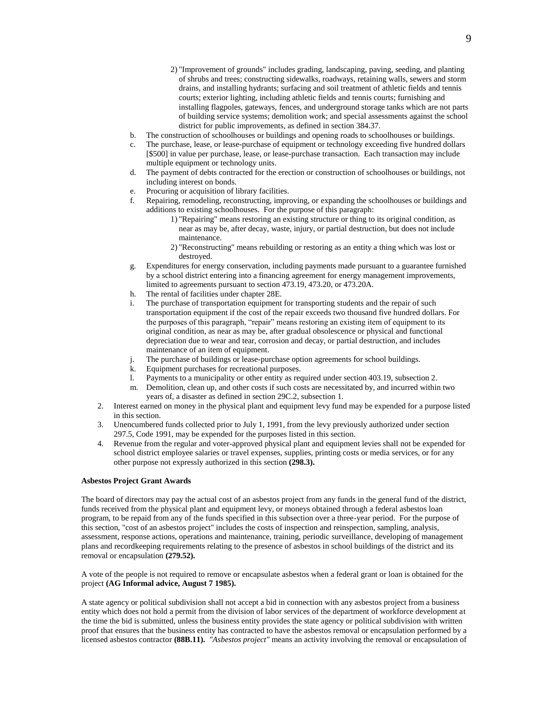- 2) "Improvement of grounds" includes grading, landscaping, paving, seeding, and planting of shrubs and trees; constructing sidewalks, roadways, retaining walls, sewers and storm drains, and installing hydrants; surfacing and soil treatment of athletic fields and tennis courts; exterior lighting, including athletic fields and tennis courts; furnishing and installing flagpoles, gateways, fences, and underground storage tanks which are not parts of building service systems; demolition work; and special assessments against the school district for public improvements, as defined in section 384.37.
- b. The construction of schoolhouses or buildings and opening roads to schoolhouses or buildings.
- c. The purchase, lease, or lease-purchase of equipment or technology exceeding five hundred dollars [\$500] in value per purchase, lease, or lease-purchase transaction. Each transaction may include multiple equipment or technology units.
- d. The payment of debts contracted for the erection or construction of schoolhouses or buildings, not including interest on bonds.
- e. Procuring or acquisition of library facilities.
- f. Repairing, remodeling, reconstructing, improving, or expanding the schoolhouses or buildings and additions to existing schoolhouses. For the purpose of this paragraph:
	- 1) "Repairing" means restoring an existing structure or thing to its original condition, as near as may be, after decay, waste, injury, or partial destruction, but does not include maintenance.
	- 2) "Reconstructing" means rebuilding or restoring as an entity a thing which was lost or destroyed.
- g. Expenditures for energy conservation, including payments made pursuant to a guarantee furnished by a school district entering into a financing agreement for energy management improvements, limited to agreements pursuant to section 473.19, 473.20, or 473.20A.
- h. The rental of facilities under chapter 28E.
- i. The purchase of transportation equipment for transporting students and the repair of such transportation equipment if the cost of the repair exceeds two thousand five hundred dollars. For the purposes of this paragraph, "repair" means restoring an existing item of equipment to its original condition, as near as may be, after gradual obsolescence or physical and functional depreciation due to wear and tear, corrosion and decay, or partial destruction, and includes maintenance of an item of equipment.
- j. The purchase of buildings or lease-purchase option agreements for school buildings.
- k. Equipment purchases for recreational purposes.
- l. Payments to a municipality or other entity as required under section 403.19, subsection 2.
- m. Demolition, clean up, and other costs if such costs are necessitated by, and incurred within two years of, a disaster as defined in section 29C.2, subsection 1.
- 2. Interest earned on money in the physical plant and equipment levy fund may be expended for a purpose listed in this section.
- 3. Unencumbered funds collected prior to July 1, 1991, from the levy previously authorized under section 297.5, Code 1991, may be expended for the purposes listed in this section.
- 4. Revenue from the regular and voter-approved physical plant and equipment levies shall not be expended for school district employee salaries or travel expenses, supplies, printing costs or media services, or for any other purpose not expressly authorized in this section **(298.3).**

#### **Asbestos Project Grant Awards**

The board of directors may pay the actual cost of an asbestos project from any funds in the general fund of the district, funds received from the physical plant and equipment levy, or moneys obtained through a federal asbestos loan program, to be repaid from any of the funds specified in this subsection over a three-year period. For the purpose of this section, "cost of an asbestos project" includes the costs of inspection and reinspection, sampling, analysis, assessment, response actions, operations and maintenance, training, periodic surveillance, developing of management plans and recordkeeping requirements relating to the presence of asbestos in school buildings of the district and its removal or encapsulation **(279.52).**

A vote of the people is not required to remove or encapsulate asbestos when a federal grant or loan is obtained for the project **(AG Informal advice, August 7 1985).**

A state agency or political subdivision shall not accept a bid in connection with any asbestos project from a business entity which does not hold a permit from the division of labor services of the department of workforce development at the time the bid is submitted, unless the business entity provides the state agency or political subdivision with written proof that ensures that the business entity has contracted to have the asbestos removal or encapsulation performed by a licensed asbestos contractor **(88B.11).** *"Asbestos project"* means an activity involving the removal or encapsulation of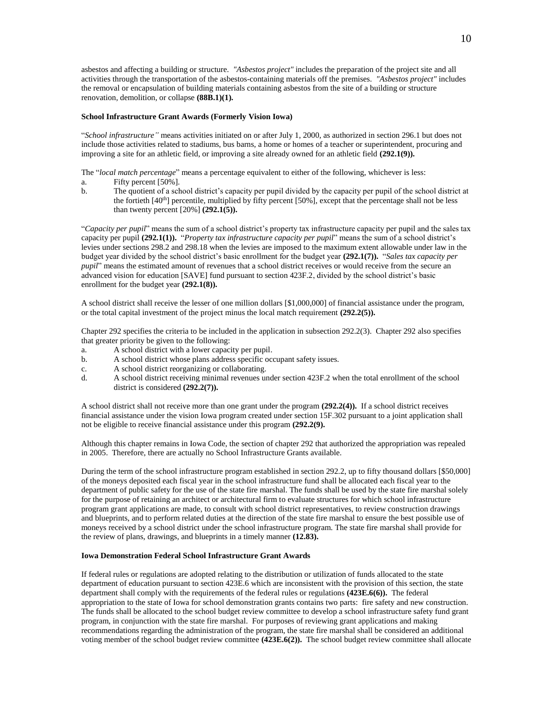asbestos and affecting a building or structure. *"Asbestos project"* includes the preparation of the project site and all activities through the transportation of the asbestos-containing materials off the premises. *"Asbestos project"* includes the removal or encapsulation of building materials containing asbestos from the site of a building or structure renovation, demolition, or collapse **(88B.1)(1).**

#### **School Infrastructure Grant Awards (Formerly Vision Iowa)**

"*School infrastructure"* means activities initiated on or after July 1, 2000, as authorized in section 296.1 but does not include those activities related to stadiums, bus barns, a home or homes of a teacher or superintendent, procuring and improving a site for an athletic field, or improving a site already owned for an athletic field **(292.1(9)).**

The "*local match percentage*" means a percentage equivalent to either of the following, whichever is less:

- a. Fifty percent [50%].
- b. The quotient of a school district's capacity per pupil divided by the capacity per pupil of the school district at the fortieth  $[40<sup>th</sup>]$  percentile, multiplied by fifty percent  $[50\%]$ , except that the percentage shall not be less than twenty percent [20%] **(292.1(5)).**

"*Capacity per pupil*" means the sum of a school district's property tax infrastructure capacity per pupil and the sales tax capacity per pupil **(292.1(1)).** "*Property tax infrastructure capacity per pupil*" means the sum of a school district's levies under sections 298.2 and 298.18 when the levies are imposed to the maximum extent allowable under law in the budget year divided by the school district's basic enrollment for the budget year **(292.1(7)).** "*Sales tax capacity per pupil*" means the estimated amount of revenues that a school district receives or would receive from the secure an advanced vision for education [SAVE] fund pursuant to section 423F.2, divided by the school district's basic enrollment for the budget year **(292.1(8)).**

A school district shall receive the lesser of one million dollars [\$1,000,000] of financial assistance under the program, or the total capital investment of the project minus the local match requirement **(292.2(5)).**

Chapter 292 specifies the criteria to be included in the application in subsection 292.2(3). Chapter 292 also specifies that greater priority be given to the following:

- a. A school district with a lower capacity per pupil.
- b. A school district whose plans address specific occupant safety issues.
- c. A school district reorganizing or collaborating.
- d. A school district receiving minimal revenues under section 423F.2 when the total enrollment of the school district is considered **(292.2(7)).**

A school district shall not receive more than one grant under the program **(292.2(4)).** If a school district receives financial assistance under the vision Iowa program created under section 15F.302 pursuant to a joint application shall not be eligible to receive financial assistance under this program **(292.2(9).**

Although this chapter remains in Iowa Code, the section of chapter 292 that authorized the appropriation was repealed in 2005. Therefore, there are actually no School Infrastructure Grants available.

During the term of the school infrastructure program established in section 292.2, up to fifty thousand dollars [\$50,000] of the moneys deposited each fiscal year in the school infrastructure fund shall be allocated each fiscal year to the department of public safety for the use of the state fire marshal. The funds shall be used by the state fire marshal solely for the purpose of retaining an architect or architectural firm to evaluate structures for which school infrastructure program grant applications are made, to consult with school district representatives, to review construction drawings and blueprints, and to perform related duties at the direction of the state fire marshal to ensure the best possible use of moneys received by a school district under the school infrastructure program. The state fire marshal shall provide for the review of plans, drawings, and blueprints in a timely manner **(12.83).**

## **Iowa Demonstration Federal School Infrastructure Grant Awards**

If federal rules or regulations are adopted relating to the distribution or utilization of funds allocated to the state department of education pursuant to section 423E.6 which are inconsistent with the provision of this section, the state department shall comply with the requirements of the federal rules or regulations **(423E.6(6)).** The federal appropriation to the state of Iowa for school demonstration grants contains two parts: fire safety and new construction. The funds shall be allocated to the school budget review committee to develop a school infrastructure safety fund grant program, in conjunction with the state fire marshal. For purposes of reviewing grant applications and making recommendations regarding the administration of the program, the state fire marshal shall be considered an additional voting member of the school budget review committee **(423E.6(2)).** The school budget review committee shall allocate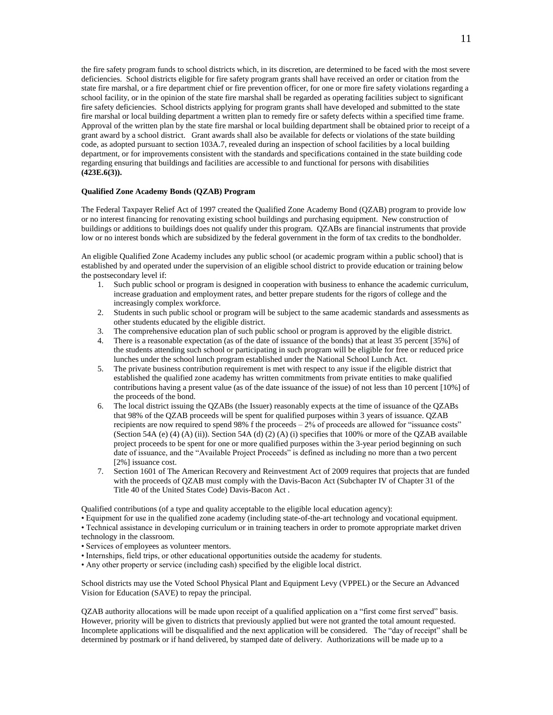the fire safety program funds to school districts which, in its discretion, are determined to be faced with the most severe deficiencies. School districts eligible for fire safety program grants shall have received an order or citation from the state fire marshal, or a fire department chief or fire prevention officer, for one or more fire safety violations regarding a school facility, or in the opinion of the state fire marshal shall be regarded as operating facilities subject to significant fire safety deficiencies. School districts applying for program grants shall have developed and submitted to the state fire marshal or local building department a written plan to remedy fire or safety defects within a specified time frame. Approval of the written plan by the state fire marshal or local building department shall be obtained prior to receipt of a grant award by a school district. Grant awards shall also be available for defects or violations of the state building code, as adopted pursuant to section 103A.7, revealed during an inspection of school facilities by a local building department, or for improvements consistent with the standards and specifications contained in the state building code regarding ensuring that buildings and facilities are accessible to and functional for persons with disabilities **(423E.6(3)).**

#### **Qualified Zone Academy Bonds (QZAB) Program**

The Federal Taxpayer Relief Act of 1997 created the Qualified Zone Academy Bond (QZAB) program to provide low or no interest financing for renovating existing school buildings and purchasing equipment. New construction of buildings or additions to buildings does not qualify under this program. QZABs are financial instruments that provide low or no interest bonds which are subsidized by the federal government in the form of tax credits to the bondholder.

An eligible Qualified Zone Academy includes any public school (or academic program within a public school) that is established by and operated under the supervision of an eligible school district to provide education or training below the postsecondary level if:

- 1. Such public school or program is designed in cooperation with business to enhance the academic curriculum, increase graduation and employment rates, and better prepare students for the rigors of college and the increasingly complex workforce.
- 2. Students in such public school or program will be subject to the same academic standards and assessments as other students educated by the eligible district.
- 3. The comprehensive education plan of such public school or program is approved by the eligible district.
- 4. There is a reasonable expectation (as of the date of issuance of the bonds) that at least 35 percent [35%] of the students attending such school or participating in such program will be eligible for free or reduced price lunches under the school lunch program established under the National School Lunch Act.
- 5. The private business contribution requirement is met with respect to any issue if the eligible district that established the qualified zone academy has written commitments from private entities to make qualified contributions having a present value (as of the date issuance of the issue) of not less than 10 percent [10%] of the proceeds of the bond.
- 6. The local district issuing the QZABs (the Issuer) reasonably expects at the time of issuance of the QZABs that 98% of the QZAB proceeds will be spent for qualified purposes within 3 years of issuance. QZAB recipients are now required to spend 98% f the proceeds  $-2\%$  of proceeds are allowed for "issuance costs" (Section 54A (e) (4) (A) (ii)). Section 54A (d) (2) (A) (i) specifies that 100% or more of the QZAB available project proceeds to be spent for one or more qualified purposes within the 3-year period beginning on such date of issuance, and the "Available Project Proceeds" is defined as including no more than a two percent [2%] issuance cost.
- 7. Section 1601 of The American Recovery and Reinvestment Act of 2009 requires that projects that are funded with the proceeds of QZAB must comply with the Davis-Bacon Act (Subchapter IV of Chapter 31 of the Title 40 of the United States Code) Davis-Bacon Act .

Qualified contributions (of a type and quality acceptable to the eligible local education agency):

• Equipment for use in the qualified zone academy (including state-of-the-art technology and vocational equipment.

• Technical assistance in developing curriculum or in training teachers in order to promote appropriate market driven

- technology in the classroom.
- Services of employees as volunteer mentors.
- Internships, field trips, or other educational opportunities outside the academy for students.
- Any other property or service (including cash) specified by the eligible local district.

School districts may use the Voted School Physical Plant and Equipment Levy (VPPEL) or the Secure an Advanced Vision for Education (SAVE) to repay the principal.

QZAB authority allocations will be made upon receipt of a qualified application on a "first come first served" basis. However, priority will be given to districts that previously applied but were not granted the total amount requested. Incomplete applications will be disqualified and the next application will be considered. The "day of receipt" shall be determined by postmark or if hand delivered, by stamped date of delivery. Authorizations will be made up to a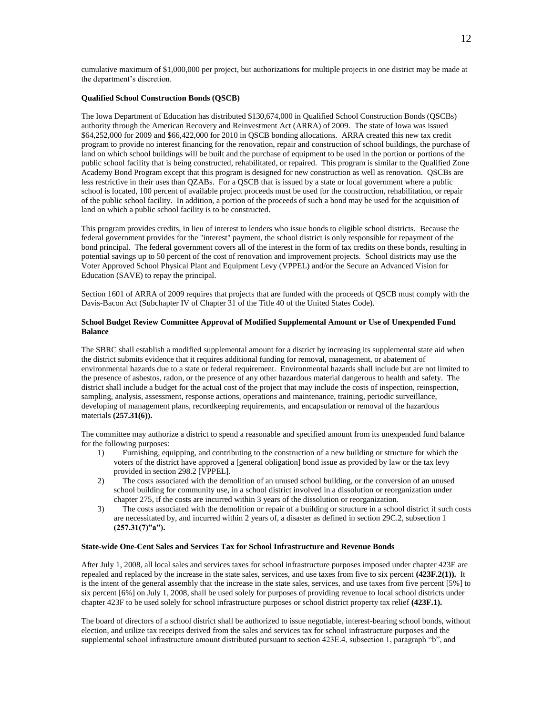cumulative maximum of \$1,000,000 per project, but authorizations for multiple projects in one district may be made at the department's discretion.

### **Qualified School Construction Bonds (QSCB)**

The Iowa Department of Education has distributed \$130,674,000 in Qualified School Construction Bonds (QSCBs) authority through the American Recovery and Reinvestment Act (ARRA) of 2009. The state of Iowa was issued \$64,252,000 for 2009 and \$66,422,000 for 2010 in QSCB bonding allocations. ARRA created this new tax credit program to provide no interest financing for the renovation, repair and construction of school buildings, the purchase of land on which school buildings will be built and the purchase of equipment to be used in the portion or portions of the public school facility that is being constructed, rehabilitated, or repaired. This program is similar to the Qualified Zone Academy Bond Program except that this program is designed for new construction as well as renovation. QSCBs are less restrictive in their uses than QZABs. For a QSCB that is issued by a state or local government where a public school is located, 100 percent of available project proceeds must be used for the construction, rehabilitation, or repair of the public school facility. In addition, a portion of the proceeds of such a bond may be used for the acquisition of land on which a public school facility is to be constructed.

This program provides credits, in lieu of interest to lenders who issue bonds to eligible school districts. Because the federal government provides for the "interest" payment, the school district is only responsible for repayment of the bond principal. The federal government covers all of the interest in the form of tax credits on these bonds, resulting in potential savings up to 50 percent of the cost of renovation and improvement projects. School districts may use the Voter Approved School Physical Plant and Equipment Levy (VPPEL) and/or the Secure an Advanced Vision for Education (SAVE) to repay the principal.

Section 1601 of ARRA of 2009 requires that projects that are funded with the proceeds of QSCB must comply with the Davis-Bacon Act (Subchapter IV of Chapter 31 of the Title 40 of the United States Code).

#### **School Budget Review Committee Approval of Modified Supplemental Amount or Use of Unexpended Fund Balance**

The SBRC shall establish a modified supplemental amount for a district by increasing its supplemental state aid when the district submits evidence that it requires additional funding for removal, management, or abatement of environmental hazards due to a state or federal requirement. Environmental hazards shall include but are not limited to the presence of asbestos, radon, or the presence of any other hazardous material dangerous to health and safety. The district shall include a budget for the actual cost of the project that may include the costs of inspection, reinspection, sampling, analysis, assessment, response actions, operations and maintenance, training, periodic surveillance, developing of management plans, recordkeeping requirements, and encapsulation or removal of the hazardous materials **(257.31(6)).**

The committee may authorize a district to spend a reasonable and specified amount from its unexpended fund balance for the following purposes:

- 1) Furnishing, equipping, and contributing to the construction of a new building or structure for which the voters of the district have approved a [general obligation] bond issue as provided by law or the tax levy provided in section 298.2 [VPPEL].
- 2) The costs associated with the demolition of an unused school building, or the conversion of an unused school building for community use, in a school district involved in a dissolution or reorganization under chapter 275, if the costs are incurred within 3 years of the dissolution or reorganization.
- 3) The costs associated with the demolition or repair of a building or structure in a school district if such costs are necessitated by, and incurred within 2 years of, a disaster as defined in section 29C.2, subsection 1 **(257.31(7)"a").**

#### **State-wide One-Cent Sales and Services Tax for School Infrastructure and Revenue Bonds**

After July 1, 2008, all local sales and services taxes for school infrastructure purposes imposed under chapter 423E are repealed and replaced by the increase in the state sales, services, and use taxes from five to six percent **(423F.2(1)).** It is the intent of the general assembly that the increase in the state sales, services, and use taxes from five percent [5%] to six percent [6%] on July 1, 2008, shall be used solely for purposes of providing revenue to local school districts under chapter 423F to be used solely for school infrastructure purposes or school district property tax relief **(423F.1).**

The board of directors of a school district shall be authorized to issue negotiable, interest-bearing school bonds, without election, and utilize tax receipts derived from the sales and services tax for school infrastructure purposes and the supplemental school infrastructure amount distributed pursuant to section 423E.4, subsection 1, paragraph "b", and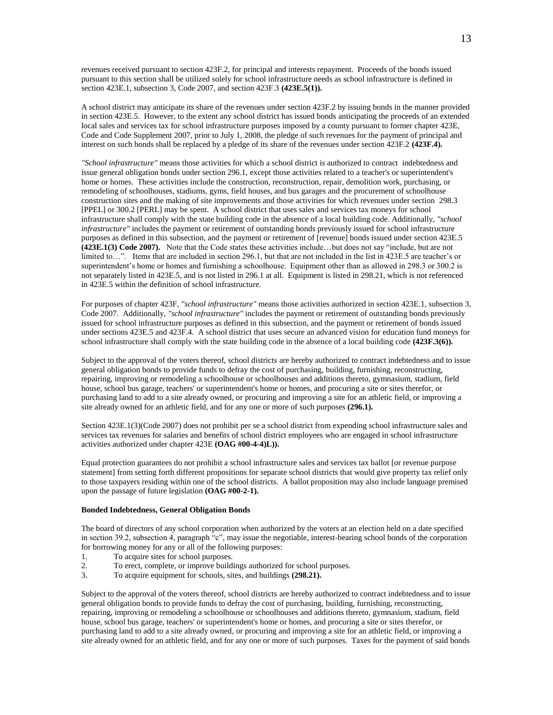revenues received pursuant to section 423F.2, for principal and interests repayment. Proceeds of the bonds issued pursuant to this section shall be utilized solely for school infrastructure needs as school infrastructure is defined in section 423E.1, subsection 3, Code 2007, and section 423F.3 **(423E.5(1)).**

A school district may anticipate its share of the revenues under section 423F.2 by issuing bonds in the manner provided in section 423E.5. However, to the extent any school district has issued bonds anticipating the proceeds of an extended local sales and services tax for school infrastructure purposes imposed by a county pursuant to former chapter 423E, Code and Code Supplement 2007, prior to July 1, 2008, the pledge of such revenues for the payment of principal and interest on such bonds shall be replaced by a pledge of its share of the revenues under section 423F.2 **(423F.4).**

*"School infrastructure"* means those activities for which a school district is authorized to contract indebtedness and issue general obligation bonds under section 296.1, except those activities related to a teacher's or superintendent's home or homes. These activities include the construction, reconstruction, repair, demolition work, purchasing, or remodeling of schoolhouses, stadiums, gyms, field houses, and bus garages and the procurement of schoolhouse construction sites and the making of site improvements and those activities for which revenues under section 298.3 [PPEL] or 300.2 [PERL] may be spent. A school district that uses sales and services tax moneys for school infrastructure shall comply with the state building code in the absence of a local building code. Additionally, *"school infrastructure"* includes the payment or retirement of outstanding bonds previously issued for school infrastructure purposes as defined in this subsection, and the payment or retirement of [revenue] bonds issued under section 423E.5 **(423E.1(3) Code 2007).** Note that the Code states these activities include…but does not say "include, but are not limited to…". Items that are included in section 296.1, but that are not included in the list in 423E.5 are teacher's or superintendent's home or homes and furnishing a schoolhouse. Equipment other than as allowed in 298.3 or 300.2 is not separately listed in 423E.5, and is not listed in 296.1 at all. Equipment is listed in 298.21, which is not referenced in 423E.5 within the definition of school infrastructure.

For purposes of chapter 423F, *"school infrastructure"* means those activities authorized in section 423E.1, subsection 3, Code 2007.Additionally, *"school infrastructure"* includes the payment or retirement of outstanding bonds previously issued for school infrastructure purposes as defined in this subsection, and the payment or retirement of bonds issued under sections 423E.5 and 423F.4.A school district that uses secure an advanced vision for education fund moneys for school infrastructure shall comply with the state building code in the absence of a local building code **(423F.3(6)).**

Subject to the approval of the voters thereof, school districts are hereby authorized to contract indebtedness and to issue general obligation bonds to provide funds to defray the cost of purchasing, building, furnishing, reconstructing, repairing, improving or remodeling a schoolhouse or schoolhouses and additions thereto, gymnasium, stadium, field house, school bus garage, teachers' or superintendent's home or homes, and procuring a site or sites therefor, or purchasing land to add to a site already owned, or procuring and improving a site for an athletic field, or improving a site already owned for an athletic field, and for any one or more of such purposes **(296.1).**

Section 423E.1(3)(Code 2007) does not prohibit per se a school district from expending school infrastructure sales and services tax revenues for salaries and benefits of school district employees who are engaged in school infrastructure activities authorized under chapter 423E **(OAG #00-4-4)L)).**

Equal protection guarantees do not prohibit a school infrastructure sales and services tax ballot [or revenue purpose statement] from setting forth different propositions for separate school districts that would give property tax relief only to those taxpayers residing within one of the school districts. A ballot proposition may also include language premised upon the passage of future legislation **(OAG #00-2-1).**

#### **Bonded Indebtedness, General Obligation Bonds**

The board of directors of any school corporation when authorized by the voters at an election held on a date specified in section 39.2, subsection 4, paragraph "c", may issue the negotiable, interest-bearing school bonds of the corporation for borrowing money for any or all of the following purposes:

- 1. To acquire sites for school purposes.
- 2. To erect, complete, or improve buildings authorized for school purposes.
- 3. To acquire equipment for schools, sites, and buildings **(298.21).**

Subject to the approval of the voters thereof, school districts are hereby authorized to contract indebtedness and to issue general obligation bonds to provide funds to defray the cost of purchasing, building, furnishing, reconstructing, repairing, improving or remodeling a schoolhouse or schoolhouses and additions thereto, gymnasium, stadium, field house, school bus garage, teachers' or superintendent's home or homes, and procuring a site or sites therefor, or purchasing land to add to a site already owned, or procuring and improving a site for an athletic field, or improving a site already owned for an athletic field, and for any one or more of such purposes. Taxes for the payment of said bonds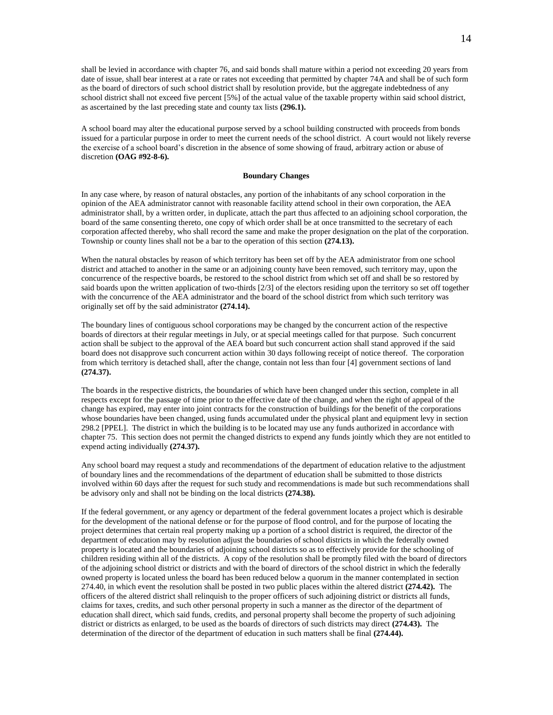shall be levied in accordance with chapter 76, and said bonds shall mature within a period not exceeding 20 years from date of issue, shall bear interest at a rate or rates not exceeding that permitted by chapter 74A and shall be of such form as the board of directors of such school district shall by resolution provide, but the aggregate indebtedness of any school district shall not exceed five percent [5%] of the actual value of the taxable property within said school district, as ascertained by the last preceding state and county tax lists **(296.1).**

A school board may alter the educational purpose served by a school building constructed with proceeds from bonds issued for a particular purpose in order to meet the current needs of the school district. A court would not likely reverse the exercise of a school board's discretion in the absence of some showing of fraud, arbitrary action or abuse of discretion **(OAG #92-8-6).**

## **Boundary Changes**

In any case where, by reason of natural obstacles, any portion of the inhabitants of any school corporation in the opinion of the AEA administrator cannot with reasonable facility attend school in their own corporation, the AEA administrator shall, by a written order, in duplicate, attach the part thus affected to an adjoining school corporation, the board of the same consenting thereto, one copy of which order shall be at once transmitted to the secretary of each corporation affected thereby, who shall record the same and make the proper designation on the plat of the corporation. Township or county lines shall not be a bar to the operation of this section **(274.13).**

When the natural obstacles by reason of which territory has been set off by the AEA administrator from one school district and attached to another in the same or an adjoining county have been removed, such territory may, upon the concurrence of the respective boards, be restored to the school district from which set off and shall be so restored by said boards upon the written application of two-thirds [2/3] of the electors residing upon the territory so set off together with the concurrence of the AEA administrator and the board of the school district from which such territory was originally set off by the said administrator **(274.14).**

The boundary lines of contiguous school corporations may be changed by the concurrent action of the respective boards of directors at their regular meetings in July, or at special meetings called for that purpose. Such concurrent action shall be subject to the approval of the AEA board but such concurrent action shall stand approved if the said board does not disapprove such concurrent action within 30 days following receipt of notice thereof. The corporation from which territory is detached shall, after the change, contain not less than four [4] government sections of land **(274.37).**

The boards in the respective districts, the boundaries of which have been changed under this section, complete in all respects except for the passage of time prior to the effective date of the change, and when the right of appeal of the change has expired, may enter into joint contracts for the construction of buildings for the benefit of the corporations whose boundaries have been changed, using funds accumulated under the physical plant and equipment levy in section 298.2 [PPEL]. The district in which the building is to be located may use any funds authorized in accordance with chapter 75. This section does not permit the changed districts to expend any funds jointly which they are not entitled to expend acting individually **(274.37).**

Any school board may request a study and recommendations of the department of education relative to the adjustment of boundary lines and the recommendations of the department of education shall be submitted to those districts involved within 60 days after the request for such study and recommendations is made but such recommendations shall be advisory only and shall not be binding on the local districts **(274.38).**

If the federal government, or any agency or department of the federal government locates a project which is desirable for the development of the national defense or for the purpose of flood control, and for the purpose of locating the project determines that certain real property making up a portion of a school district is required, the director of the department of education may by resolution adjust the boundaries of school districts in which the federally owned property is located and the boundaries of adjoining school districts so as to effectively provide for the schooling of children residing within all of the districts. A copy of the resolution shall be promptly filed with the board of directors of the adjoining school district or districts and with the board of directors of the school district in which the federally owned property is located unless the board has been reduced below a quorum in the manner contemplated in section 274.40, in which event the resolution shall be posted in two public places within the altered district **(274.42).** The officers of the altered district shall relinquish to the proper officers of such adjoining district or districts all funds, claims for taxes, credits, and such other personal property in such a manner as the director of the department of education shall direct, which said funds, credits, and personal property shall become the property of such adjoining district or districts as enlarged, to be used as the boards of directors of such districts may direct **(274.43).** The determination of the director of the department of education in such matters shall be final **(274.44).**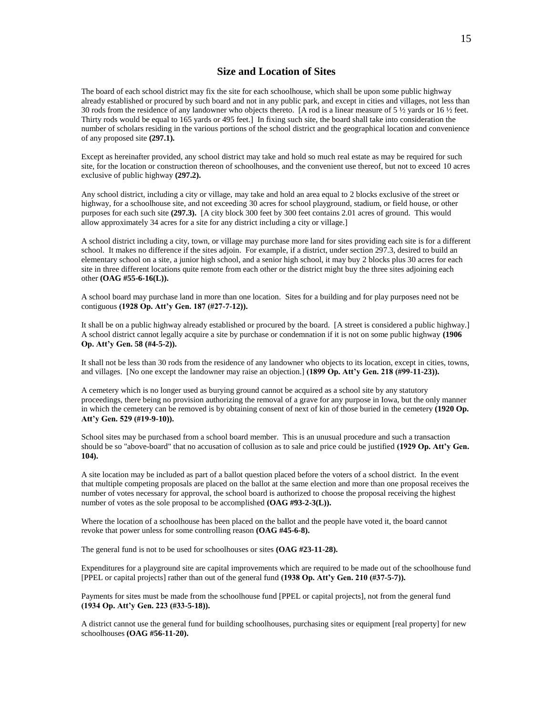## **Size and Location of Sites**

The board of each school district may fix the site for each schoolhouse, which shall be upon some public highway already established or procured by such board and not in any public park, and except in cities and villages, not less than 30 rods from the residence of any landowner who objects thereto. [A rod is a linear measure of 5 ½ yards or 16 ½ feet. Thirty rods would be equal to 165 yards or 495 feet.] In fixing such site, the board shall take into consideration the number of scholars residing in the various portions of the school district and the geographical location and convenience of any proposed site **(297.1).**

Except as hereinafter provided, any school district may take and hold so much real estate as may be required for such site, for the location or construction thereon of schoolhouses, and the convenient use thereof, but not to exceed 10 acres exclusive of public highway **(297.2).**

Any school district, including a city or village, may take and hold an area equal to 2 blocks exclusive of the street or highway, for a schoolhouse site, and not exceeding 30 acres for school playground, stadium, or field house, or other purposes for each such site **(297.3).** [A city block 300 feet by 300 feet contains 2.01 acres of ground. This would allow approximately 34 acres for a site for any district including a city or village.]

A school district including a city, town, or village may purchase more land for sites providing each site is for a different school. It makes no difference if the sites adjoin. For example, if a district, under section 297.3, desired to build an elementary school on a site, a junior high school, and a senior high school, it may buy 2 blocks plus 30 acres for each site in three different locations quite remote from each other or the district might buy the three sites adjoining each other **(OAG #55-6-16(L)).**

A school board may purchase land in more than one location. Sites for a building and for play purposes need not be contiguous **(1928 Op. Att'y Gen. 187 (#27-7-12)).**

It shall be on a public highway already established or procured by the board. [A street is considered a public highway.] A school district cannot legally acquire a site by purchase or condemnation if it is not on some public highway **(1906 Op. Att'y Gen. 58 (#4-5-2)).**

It shall not be less than 30 rods from the residence of any landowner who objects to its location, except in cities, towns, and villages. [No one except the landowner may raise an objection.] **(1899 Op. Att'y Gen. 218 (#99-11-23)).**

A cemetery which is no longer used as burying ground cannot be acquired as a school site by any statutory proceedings, there being no provision authorizing the removal of a grave for any purpose in Iowa, but the only manner in which the cemetery can be removed is by obtaining consent of next of kin of those buried in the cemetery **(1920 Op. Att'y Gen. 529 (#19-9-10)).**

School sites may be purchased from a school board member. This is an unusual procedure and such a transaction should be so "above-board" that no accusation of collusion as to sale and price could be justified **(1929 Op. Att'y Gen. 104).**

A site location may be included as part of a ballot question placed before the voters of a school district. In the event that multiple competing proposals are placed on the ballot at the same election and more than one proposal receives the number of votes necessary for approval, the school board is authorized to choose the proposal receiving the highest number of votes as the sole proposal to be accomplished **(OAG #93-2-3(L)).**

Where the location of a schoolhouse has been placed on the ballot and the people have voted it, the board cannot revoke that power unless for some controlling reason **(OAG #45-6-8).**

The general fund is not to be used for schoolhouses or sites **(OAG #23-11-28).**

Expenditures for a playground site are capital improvements which are required to be made out of the schoolhouse fund [PPEL or capital projects] rather than out of the general fund **(1938 Op. Att'y Gen. 210 (#37-5-7)).**

Payments for sites must be made from the schoolhouse fund [PPEL or capital projects], not from the general fund **(1934 Op. Att'y Gen. 223 (#33-5-18)).**

A district cannot use the general fund for building schoolhouses, purchasing sites or equipment [real property] for new schoolhouses **(OAG #56-11-20).**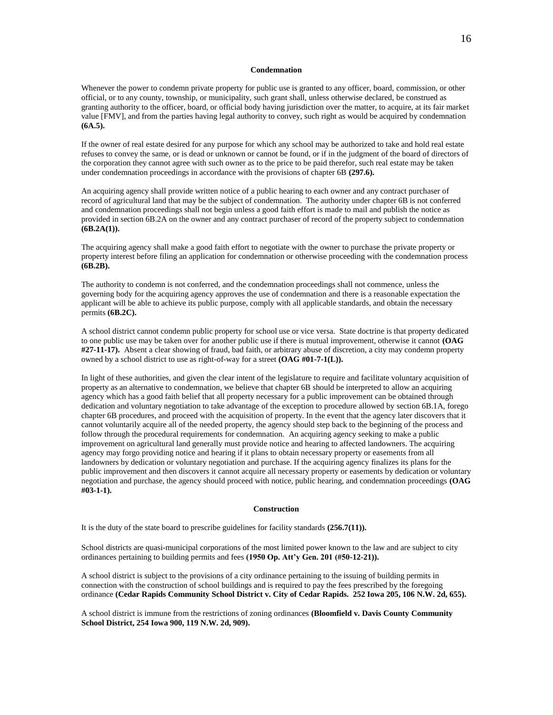#### **Condemnation**

Whenever the power to condemn private property for public use is granted to any officer, board, commission, or other official, or to any county, township, or municipality, such grant shall, unless otherwise declared, be construed as granting authority to the officer, board, or official body having jurisdiction over the matter, to acquire, at its fair market value [FMV], and from the parties having legal authority to convey, such right as would be acquired by condemnation **(6A.5).**

If the owner of real estate desired for any purpose for which any school may be authorized to take and hold real estate refuses to convey the same, or is dead or unknown or cannot be found, or if in the judgment of the board of directors of the corporation they cannot agree with such owner as to the price to be paid therefor, such real estate may be taken under condemnation proceedings in accordance with the provisions of chapter 6B **(297.6).**

An acquiring agency shall provide written notice of a public hearing to each owner and any contract purchaser of record of agricultural land that may be the subject of condemnation. The authority under chapter 6B is not conferred and condemnation proceedings shall not begin unless a good faith effort is made to mail and publish the notice as provided in section 6B.2A on the owner and any contract purchaser of record of the property subject to condemnation **(6B.2A(1)).**

The acquiring agency shall make a good faith effort to negotiate with the owner to purchase the private property or property interest before filing an application for condemnation or otherwise proceeding with the condemnation process **(6B.2B).**

The authority to condemn is not conferred, and the condemnation proceedings shall not commence, unless the governing body for the acquiring agency approves the use of condemnation and there is a reasonable expectation the applicant will be able to achieve its public purpose, comply with all applicable standards, and obtain the necessary permits **(6B.2C).**

A school district cannot condemn public property for school use or vice versa. State doctrine is that property dedicated to one public use may be taken over for another public use if there is mutual improvement, otherwise it cannot **(OAG #27-11-17).** Absent a clear showing of fraud, bad faith, or arbitrary abuse of discretion, a city may condemn property owned by a school district to use as right-of-way for a street **(OAG #01-7-1(L)).**

In light of these authorities, and given the clear intent of the legislature to require and facilitate voluntary acquisition of property as an alternative to condemnation, we believe that chapter 6B should be interpreted to allow an acquiring agency which has a good faith belief that all property necessary for a public improvement can be obtained through dedication and voluntary negotiation to take advantage of the exception to procedure allowed by [section 6B.1A,](http://creditcard.westlaw.com/find/default.wl?sp=iaag-1000&docname=IASTS6B.1A&rp=%2ffind%2fdefault.wl&sv=Split&rs=WEBL11.01&db=1000256&tf=-1&findtype=L&fn=FromEW&vr=2.0&tc=-1&ordoc=0292063270) forego chapter 6B procedures, and proceed with the acquisition of property. In the event that the agency later discovers that it cannot voluntarily acquire all of the needed property, the agency should step back to the beginning of the process and follow through the procedural requirements for condemnation. An acquiring agency seeking to make a public improvement on agricultural land generally must provide notice and hearing to affected landowners. The acquiring agency may forgo providing notice and hearing if it plans to obtain necessary property or easements from all landowners by dedication or voluntary negotiation and purchase. If the acquiring agency finalizes its plans for the public improvement and then discovers it cannot acquire all necessary property or easements by dedication or voluntary negotiation and purchase, the agency should proceed with notice, public hearing, and condemnation proceedings **(OAG #03-1-1).**

#### **Construction**

It is the duty of the state board to prescribe guidelines for facility standards **(256.7(11)).**

School districts are quasi-municipal corporations of the most limited power known to the law and are subject to city ordinances pertaining to building permits and fees **(1950 Op. Att'y Gen. 201 (#50-12-21)).**

A school district is subject to the provisions of a city ordinance pertaining to the issuing of building permits in connection with the construction of school buildings and is required to pay the fees prescribed by the foregoing ordinance **(Cedar Rapids Community School District v. City of Cedar Rapids. 252 Iowa 205, 106 N.W. 2d, 655).**

A school district is immune from the restrictions of zoning ordinances **(Bloomfield v. Davis County Community School District, 254 Iowa 900, 119 N.W. 2d, 909).**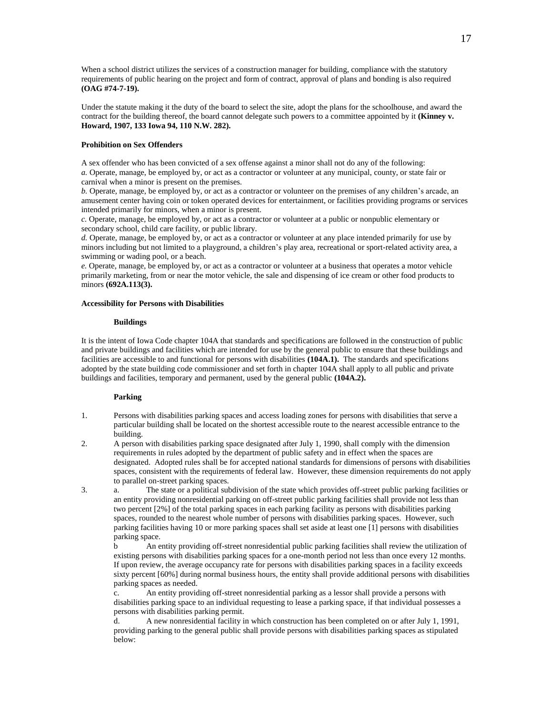When a school district utilizes the services of a construction manager for building, compliance with the statutory requirements of public hearing on the project and form of contract, approval of plans and bonding is also required **(OAG #74-7-19).**

Under the statute making it the duty of the board to select the site, adopt the plans for the schoolhouse, and award the contract for the building thereof, the board cannot delegate such powers to a committee appointed by it **(Kinney v. Howard, 1907, 133 Iowa 94, 110 N.W. 282).**

#### **Prohibition on Sex Offenders**

A sex offender who has been convicted of a sex offense against a minor shall not do any of the following: *a.* Operate, manage, be employed by, or act as a contractor or volunteer at any municipal, county, or state fair or carnival when a minor is present on the premises.

*b.* Operate, manage, be employed by, or act as a contractor or volunteer on the premises of any children's arcade, an amusement center having coin or token operated devices for entertainment, or facilities providing programs or services intended primarily for minors, when a minor is present.

*c.* Operate, manage, be employed by, or act as a contractor or volunteer at a public or nonpublic elementary or secondary school, child care facility, or public library.

*d.* Operate, manage, be employed by, or act as a contractor or volunteer at any place intended primarily for use by minors including but not limited to a playground, a children's play area, recreational or sport-related activity area, a swimming or wading pool, or a beach.

*e.* Operate, manage, be employed by, or act as a contractor or volunteer at a business that operates a motor vehicle primarily marketing, from or near the motor vehicle, the sale and dispensing of ice cream or other food products to minors **(692A.113(3).**

#### **Accessibility for Persons with Disabilities**

#### **Buildings**

It is the intent of Iowa Code chapter 104A that standards and specifications are followed in the construction of public and private buildings and facilities which are intended for use by the general public to ensure that these buildings and facilities are accessible to and functional for persons with disabilities **(104A.1).** The standards and specifications adopted by the state building code commissioner and set forth in chapter 104A shall apply to all public and private buildings and facilities, temporary and permanent, used by the general public **(104A.2).**

## **Parking**

- 1. Persons with disabilities parking spaces and access loading zones for persons with disabilities that serve a particular building shall be located on the shortest accessible route to the nearest accessible entrance to the building.
- 2. A person with disabilities parking space designated after July 1, 1990, shall comply with the dimension requirements in rules adopted by the department of public safety and in effect when the spaces are designated. Adopted rules shall be for accepted national standards for dimensions of persons with disabilities spaces, consistent with the requirements of federal law. However, these dimension requirements do not apply to parallel on-street parking spaces.
- 3. a. The state or a political subdivision of the state which provides off-street public parking facilities or an entity providing nonresidential parking on off-street public parking facilities shall provide not less than two percent [2%] of the total parking spaces in each parking facility as persons with disabilities parking spaces, rounded to the nearest whole number of persons with disabilities parking spaces. However, such parking facilities having 10 or more parking spaces shall set aside at least one [1] persons with disabilities parking space.

b An entity providing off-street nonresidential public parking facilities shall review the utilization of existing persons with disabilities parking spaces for a one-month period not less than once every 12 months. If upon review, the average occupancy rate for persons with disabilities parking spaces in a facility exceeds sixty percent [60%] during normal business hours, the entity shall provide additional persons with disabilities parking spaces as needed.

c. An entity providing off-street nonresidential parking as a lessor shall provide a persons with disabilities parking space to an individual requesting to lease a parking space, if that individual possesses a persons with disabilities parking permit.

d. A new nonresidential facility in which construction has been completed on or after July 1, 1991, providing parking to the general public shall provide persons with disabilities parking spaces as stipulated below: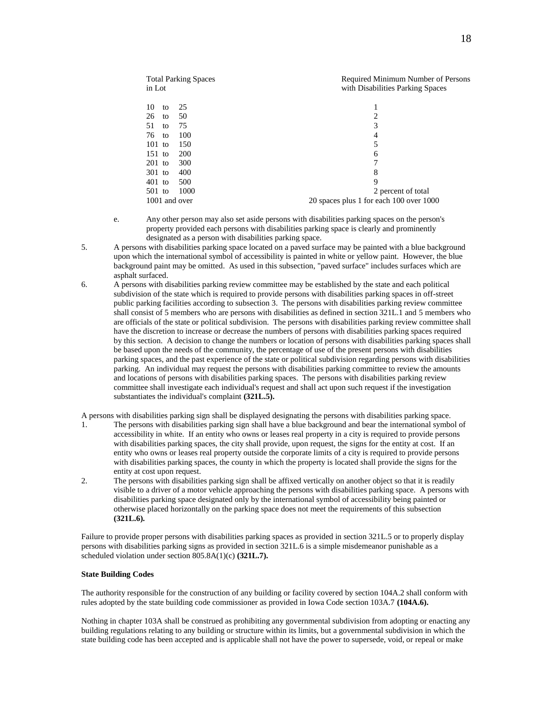| <b>Total Parking Spaces</b><br>in Lot | Required Minimum Number of Persons<br>with Disabilities Parking Spaces |
|---------------------------------------|------------------------------------------------------------------------|
|                                       |                                                                        |
| 10<br>25<br>to                        |                                                                        |
| 50<br>26<br>to                        | 2                                                                      |
| 51<br>75<br>to                        | 3                                                                      |
| 100<br>76<br>to                       | 4                                                                      |
| $101$ to<br>150                       | 5                                                                      |
| $151$ to<br><b>200</b>                | 6                                                                      |
| 300<br>$201$ to                       | 7                                                                      |
| 400<br>$301$ to                       | 8                                                                      |
| $401$ to<br>500                       | 9                                                                      |
| 1000<br>$501$ to                      | 2 percent of total                                                     |
| 1001 and over                         | 20 spaces plus 1 for each 100 over 1000                                |

- e. Any other person may also set aside persons with disabilities parking spaces on the person's property provided each persons with disabilities parking space is clearly and prominently designated as a person with disabilities parking space.
- 5. A persons with disabilities parking space located on a paved surface may be painted with a blue background upon which the international symbol of accessibility is painted in white or yellow paint. However, the blue background paint may be omitted. As used in this subsection, "paved surface" includes surfaces which are asphalt surfaced.
- 6. A persons with disabilities parking review committee may be established by the state and each political subdivision of the state which is required to provide persons with disabilities parking spaces in off-street public parking facilities according to subsection 3. The persons with disabilities parking review committee shall consist of 5 members who are persons with disabilities as defined in section 321L.1 and 5 members who are officials of the state or political subdivision. The persons with disabilities parking review committee shall have the discretion to increase or decrease the numbers of persons with disabilities parking spaces required by this section. A decision to change the numbers or location of persons with disabilities parking spaces shall be based upon the needs of the community, the percentage of use of the present persons with disabilities parking spaces, and the past experience of the state or political subdivision regarding persons with disabilities parking. An individual may request the persons with disabilities parking committee to review the amounts and locations of persons with disabilities parking spaces. The persons with disabilities parking review committee shall investigate each individual's request and shall act upon such request if the investigation substantiates the individual's complaint **(321L.5).**
- A persons with disabilities parking sign shall be displayed designating the persons with disabilities parking space.
- 1. The persons with disabilities parking sign shall have a blue background and bear the international symbol of accessibility in white. If an entity who owns or leases real property in a city is required to provide persons with disabilities parking spaces, the city shall provide, upon request, the signs for the entity at cost. If an entity who owns or leases real property outside the corporate limits of a city is required to provide persons with disabilities parking spaces, the county in which the property is located shall provide the signs for the entity at cost upon request.
- 2. The persons with disabilities parking sign shall be affixed vertically on another object so that it is readily visible to a driver of a motor vehicle approaching the persons with disabilities parking space. A persons with disabilities parking space designated only by the international symbol of accessibility being painted or otherwise placed horizontally on the parking space does not meet the requirements of this subsection **(321L.6).**

Failure to provide proper persons with disabilities parking spaces as provided in section 321L.5 or to properly display persons with disabilities parking signs as provided in section 321L.6 is a simple misdemeanor punishable as a scheduled violation under section 805.8A(1)(c) **(321L.7).**

#### **State Building Codes**

The authority responsible for the construction of any building or facility covered by section 104A.2 shall conform with rules adopted by the state building code commissioner as provided in Iowa Code section 103A.7 **(104A.6).**

Nothing in chapter 103A shall be construed as prohibiting any governmental subdivision from adopting or enacting any building regulations relating to any building or structure within its limits, but a governmental subdivision in which the state building code has been accepted and is applicable shall not have the power to supersede, void, or repeal or make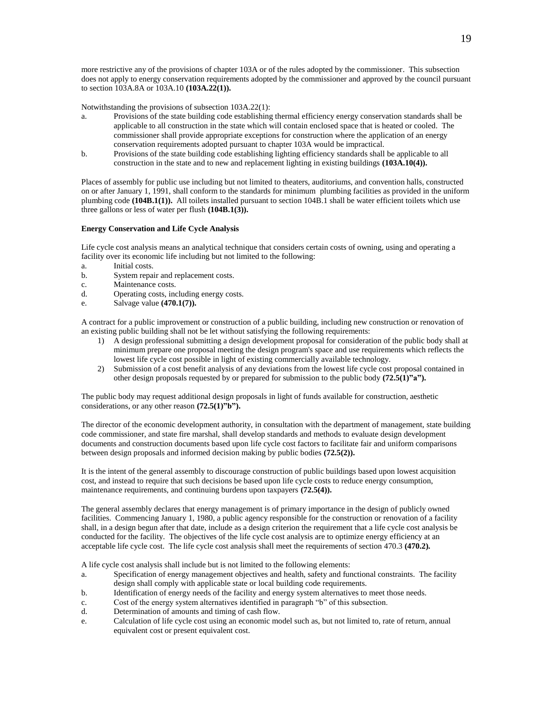more restrictive any of the provisions of chapter 103A or of the rules adopted by the commissioner. This subsection does not apply to energy conservation requirements adopted by the commissioner and approved by the council pursuant to section 103A.8A or 103A.10 **(103A.22(1)).**

Notwithstanding the provisions of subsection 103A.22(1):

- a. Provisions of the state building code establishing thermal efficiency energy conservation standards shall be applicable to all construction in the state which will contain enclosed space that is heated or cooled. The commissioner shall provide appropriate exceptions for construction where the application of an energy conservation requirements adopted pursuant to chapter 103A would be impractical.
- b. Provisions of the state building code establishing lighting efficiency standards shall be applicable to all construction in the state and to new and replacement lighting in existing buildings **(103A.10(4)).**

Places of assembly for public use including but not limited to theaters, auditoriums, and convention halls, constructed on or after January 1, 1991, shall conform to the standards for minimum plumbing facilities as provided in the uniform plumbing code **(104B.1(1)).** All toilets installed pursuant to section 104B.1 shall be water efficient toilets which use three gallons or less of water per flush **(104B.1(3)).**

## **Energy Conservation and Life Cycle Analysis**

Life cycle cost analysis means an analytical technique that considers certain costs of owning, using and operating a facility over its economic life including but not limited to the following:

- a. Initial costs.
- b. System repair and replacement costs.
- c. Maintenance costs.
- d. Operating costs, including energy costs.
- e. Salvage value **(470.1(7)).**

A contract for a public improvement or construction of a public building, including new construction or renovation of an existing public building shall not be let without satisfying the following requirements:

- 1) A design professional submitting a design development proposal for consideration of the public body shall at minimum prepare one proposal meeting the design program's space and use requirements which reflects the lowest life cycle cost possible in light of existing commercially available technology.
- 2) Submission of a cost benefit analysis of any deviations from the lowest life cycle cost proposal contained in other design proposals requested by or prepared for submission to the public body **(72.5(1)"a").**

The public body may request additional design proposals in light of funds available for construction, aesthetic considerations, or any other reason **(72.5(1)"b").**

The director of the economic development authority, in consultation with the department of management, state building code commissioner, and state fire marshal, shall develop standards and methods to evaluate design development documents and construction documents based upon life cycle cost factors to facilitate fair and uniform comparisons between design proposals and informed decision making by public bodies **(72.5(2)).**

It is the intent of the general assembly to discourage construction of public buildings based upon lowest acquisition cost, and instead to require that such decisions be based upon life cycle costs to reduce energy consumption, maintenance requirements, and continuing burdens upon taxpayers **(72.5(4)).**

The general assembly declares that energy management is of primary importance in the design of publicly owned facilities. Commencing January 1, 1980, a public agency responsible for the construction or renovation of a facility shall, in a design begun after that date, include as a design criterion the requirement that a life cycle cost analysis be conducted for the facility. The objectives of the life cycle cost analysis are to optimize energy efficiency at an acceptable life cycle cost. The life cycle cost analysis shall meet the requirements of section 470.3 **(470.2).**

A life cycle cost analysis shall include but is not limited to the following elements:

- a. Specification of energy management objectives and health, safety and functional constraints. The facility design shall comply with applicable state or local building code requirements.
- b. Identification of energy needs of the facility and energy system alternatives to meet those needs.
- c. Cost of the energy system alternatives identified in paragraph "b" of this subsection.
- d. Determination of amounts and timing of cash flow.
- e. Calculation of life cycle cost using an economic model such as, but not limited to, rate of return, annual equivalent cost or present equivalent cost.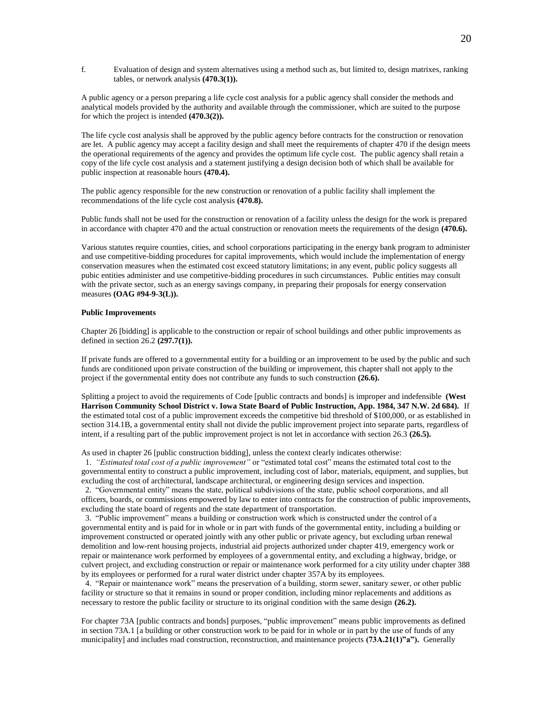f. Evaluation of design and system alternatives using a method such as, but limited to, design matrixes, ranking tables, or network analysis **(470.3(1)).**

A public agency or a person preparing a life cycle cost analysis for a public agency shall consider the methods and analytical models provided by the authority and available through the commissioner, which are suited to the purpose for which the project is intended **(470.3(2)).**

The life cycle cost analysis shall be approved by the public agency before contracts for the construction or renovation are let. A public agency may accept a facility design and shall meet the requirements of chapter 470 if the design meets the operational requirements of the agency and provides the optimum life cycle cost. The public agency shall retain a copy of the life cycle cost analysis and a statement justifying a design decision both of which shall be available for public inspection at reasonable hours **(470.4).**

The public agency responsible for the new construction or renovation of a public facility shall implement the recommendations of the life cycle cost analysis **(470.8).**

Public funds shall not be used for the construction or renovation of a facility unless the design for the work is prepared in accordance with chapter 470 and the actual construction or renovation meets the requirements of the design **(470.6).**

Various statutes require counties, cities, and school corporations participating in the energy bank program to administer and use competitive-bidding procedures for capital improvements, which would include the implementation of energy conservation measures when the estimated cost exceed statutory limitations; in any event, public policy suggests all pubic entities administer and use competitive-bidding procedures in such circumstances. Public entities may consult with the private sector, such as an energy savings company, in preparing their proposals for energy conservation measures **(OAG #94-9-3(L)).**

## **Public Improvements**

Chapter 26 [bidding] is applicable to the construction or repair of school buildings and other public improvements as defined in section 26.2 **(297.7(1)).**

If private funds are offered to a governmental entity for a building or an improvement to be used by the public and such funds are conditioned upon private construction of the building or improvement, this chapter shall not apply to the project if the governmental entity does not contribute any funds to such construction **(26.6).**

Splitting a project to avoid the requirements of Code [public contracts and bonds] is improper and indefensible **(West Harrison Community School District v. Iowa State Board of Public Instruction, App. 1984, 347 N.W. 2d 684).** If the estimated total cost of a public improvement exceeds the competitive bid threshold of \$100,000, or as established in section 314.1B, a governmental entity shall not divide the public improvement project into separate parts, regardless of intent, if a resulting part of the public improvement project is not let in accordance with section 26.3 **(26.5).**

As used in chapter 26 [public construction bidding], unless the context clearly indicates otherwise:

 1. *"Estimated total cost of a public improvement"* or "estimated total cost" means the estimated total cost to the governmental entity to construct a public improvement, including cost of labor, materials, equipment, and supplies, but excluding the cost of architectural, landscape architectural, or engineering design services and inspection.

 2. "Governmental entity" means the state, political subdivisions of the state, public school corporations, and all officers, boards, or commissions empowered by law to enter into contracts for the construction of public improvements, excluding the state board of regents and the state department of transportation.

 3. "Public improvement" means a building or construction work which is constructed under the control of a governmental entity and is paid for in whole or in part with funds of the governmental entity, including a building or improvement constructed or operated jointly with any other public or private agency, but excluding urban renewal demolition and low-rent housing projects, industrial aid projects authorized under chapter 419, emergency work or repair or maintenance work performed by employees of a governmental entity, and excluding a highway, bridge, or culvert project, and excluding construction or repair or maintenance work performed for a city utility under chapter 388 by its employees or performed for a rural water district under chapter 357A by its employees.

 4. "Repair or maintenance work" means the preservation of a building, storm sewer, sanitary sewer, or other public facility or structure so that it remains in sound or proper condition, including minor replacements and additions as necessary to restore the public facility or structure to its original condition with the same design **(26.2).**

For chapter 73A [public contracts and bonds] purposes, "public improvement" means public improvements as defined in section 73A.1 [a building or other construction work to be paid for in whole or in part by the use of funds of any municipality] and includes road construction, reconstruction, and maintenance projects **(73A.21(1)"a").** Generally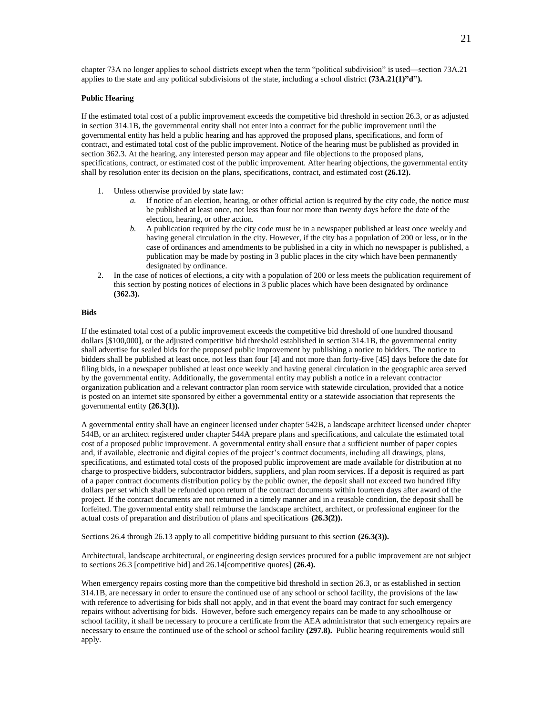chapter 73A no longer applies to school districts except when the term "political subdivision" is used—section 73A.21 applies to the state and any political subdivisions of the state, including a school district **(73A.21(1)"d").**

### **Public Hearing**

If the estimated total cost of a public improvement exceeds the competitive bid threshold in section 26.3, or as adjusted in section 314.1B, the governmental entity shall not enter into a contract for the public improvement until the governmental entity has held a public hearing and has approved the proposed plans, specifications, and form of contract, and estimated total cost of the public improvement. Notice of the hearing must be published as provided in section 362.3. At the hearing, any interested person may appear and file objections to the proposed plans, specifications, contract, or estimated cost of the public improvement. After hearing objections, the governmental entity shall by resolution enter its decision on the plans, specifications, contract, and estimated cost **(26.12).**

- 1. Unless otherwise provided by state law:
	- *a.* If notice of an election, hearing, or other official action is required by the city code, the notice must be published at least once, not less than four nor more than twenty days before the date of the election, hearing, or other action.
	- *b.* A publication required by the city code must be in a newspaper published at least once weekly and having general circulation in the city. However, if the city has a population of 200 or less, or in the case of ordinances and amendments to be published in a city in which no newspaper is published, a publication may be made by posting in 3 public places in the city which have been permanently designated by ordinance.
- 2. In the case of notices of elections, a city with a population of 200 or less meets the publication requirement of this section by posting notices of elections in 3 public places which have been designated by ordinance **(362.3).**

#### **Bids**

If the estimated total cost of a public improvement exceeds the competitive bid threshold of one hundred thousand dollars [\$100,000], or the adjusted competitive bid threshold established in section 314.1B, the governmental entity shall advertise for sealed bids for the proposed public improvement by publishing a notice to bidders. The notice to bidders shall be published at least once, not less than four [4] and not more than forty-five [45] days before the date for filing bids, in a newspaper published at least once weekly and having general circulation in the geographic area served by the governmental entity. Additionally, the governmental entity may publish a notice in a relevant contractor organization publication and a relevant contractor plan room service with statewide circulation, provided that a notice is posted on an internet site sponsored by either a governmental entity or a statewide association that represents the governmental entity **(26.3(1)).**

A governmental entity shall have an engineer licensed under chapter 542B, a landscape architect licensed under chapter 544B, or an architect registered under chapter 544A prepare plans and specifications, and calculate the estimated total cost of a proposed public improvement. A governmental entity shall ensure that a sufficient number of paper copies and, if available, electronic and digital copies of the project's contract documents, including all drawings, plans, specifications, and estimated total costs of the proposed public improvement are made available for distribution at no charge to prospective bidders, subcontractor bidders, suppliers, and plan room services. If a deposit is required as part of a paper contract documents distribution policy by the public owner, the deposit shall not exceed two hundred fifty dollars per set which shall be refunded upon return of the contract documents within fourteen days after award of the project. If the contract documents are not returned in a timely manner and in a reusable condition, the deposit shall be forfeited. The governmental entity shall reimburse the landscape architect, architect, or professional engineer for the actual costs of preparation and distribution of plans and specifications **(26.3(2)).**

Sections 26.4 through 26.13 apply to all competitive bidding pursuant to this section **(26.3(3)).**

Architectural, landscape architectural, or engineering design services procured for a public improvement are not subject to sections 26.3 [competitive bid] and 26.14[competitive quotes] **(26.4).**

When emergency repairs costing more than the competitive bid threshold in section 26.3, or as established in section 314.1B, are necessary in order to ensure the continued use of any school or school facility, the provisions of the law with reference to advertising for bids shall not apply, and in that event the board may contract for such emergency repairs without advertising for bids. However, before such emergency repairs can be made to any schoolhouse or school facility, it shall be necessary to procure a certificate from the AEA administrator that such emergency repairs are necessary to ensure the continued use of the school or school facility **(297.8).** Public hearing requirements would still apply.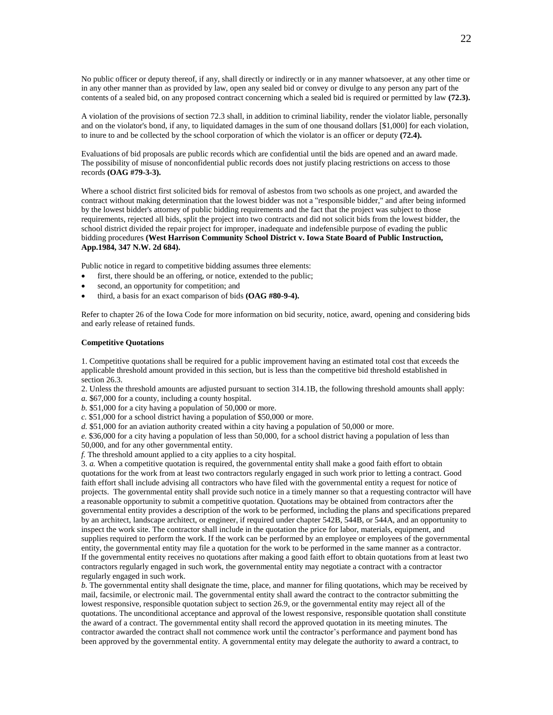No public officer or deputy thereof, if any, shall directly or indirectly or in any manner whatsoever, at any other time or in any other manner than as provided by law, open any sealed bid or convey or divulge to any person any part of the contents of a sealed bid, on any proposed contract concerning which a sealed bid is required or permitted by law **(72.3).**

A violation of the provisions of section 72.3 shall, in addition to criminal liability, render the violator liable, personally and on the violator's bond, if any, to liquidated damages in the sum of one thousand dollars [\$1,000] for each violation, to inure to and be collected by the school corporation of which the violator is an officer or deputy **(72.4).**

Evaluations of bid proposals are public records which are confidential until the bids are opened and an award made. The possibility of misuse of nonconfidential public records does not justify placing restrictions on access to those records **(OAG #79-3-3).**

Where a school district first solicited bids for removal of asbestos from two schools as one project, and awarded the contract without making determination that the lowest bidder was not a "responsible bidder," and after being informed by the lowest bidder's attorney of public bidding requirements and the fact that the project was subject to those requirements, rejected all bids, split the project into two contracts and did not solicit bids from the lowest bidder, the school district divided the repair project for improper, inadequate and indefensible purpose of evading the public bidding procedures **(West Harrison Community School District v. Iowa State Board of Public Instruction, App.1984, 347 N.W. 2d 684).**

Public notice in regard to competitive bidding assumes three elements:

- first, there should be an offering, or notice, extended to the public;
- second, an opportunity for competition; and
- third, a basis for an exact comparison of bids **(OAG #80-9-4).**

Refer to chapter 26 of the Iowa Code for more information on bid security, notice, award, opening and considering bids and early release of retained funds.

#### **Competitive Quotations**

1. Competitive quotations shall be required for a public improvement having an estimated total cost that exceeds the applicable threshold amount provided in this section, but is less than the competitive bid threshold established in section 26.3.

2. Unless the threshold amounts are adjusted pursuant to section 314.1B, the following threshold amounts shall apply: *a.* \$67,000 for a county, including a county hospital.

*b.* \$51,000 for a city having a population of 50,000 or more.

*c.* \$51,000 for a school district having a population of \$50,000 or more.

*d.* \$51,000 for an aviation authority created within a city having a population of 50,000 or more.

*e.* \$36,000 for a city having a population of less than 50,000, for a school district having a population of less than 50,000, and for any other governmental entity.

*f.* The threshold amount applied to a city applies to a city hospital.

3. *a.* When a competitive quotation is required, the governmental entity shall make a good faith effort to obtain quotations for the work from at least two contractors regularly engaged in such work prior to letting a contract. Good faith effort shall include advising all contractors who have filed with the governmental entity a request for notice of projects. The governmental entity shall provide such notice in a timely manner so that a requesting contractor will have a reasonable opportunity to submit a competitive quotation. Quotations may be obtained from contractors after the governmental entity provides a description of the work to be performed, including the plans and specifications prepared by an architect, landscape architect, or engineer, if required under chapter 542B, 544B, or 544A, and an opportunity to inspect the work site. The contractor shall include in the quotation the price for labor, materials, equipment, and supplies required to perform the work. If the work can be performed by an employee or employees of the governmental entity, the governmental entity may file a quotation for the work to be performed in the same manner as a contractor. If the governmental entity receives no quotations after making a good faith effort to obtain quotations from at least two contractors regularly engaged in such work, the governmental entity may negotiate a contract with a contractor regularly engaged in such work.

*b.* The governmental entity shall designate the time, place, and manner for filing quotations, which may be received by mail, facsimile, or electronic mail. The governmental entity shall award the contract to the contractor submitting the lowest responsive, responsible quotation subject to section 26.9, or the governmental entity may reject all of the quotations. The unconditional acceptance and approval of the lowest responsive, responsible quotation shall constitute the award of a contract. The governmental entity shall record the approved quotation in its meeting minutes. The contractor awarded the contract shall not commence work until the contractor's performance and payment bond has been approved by the governmental entity. A governmental entity may delegate the authority to award a contract, to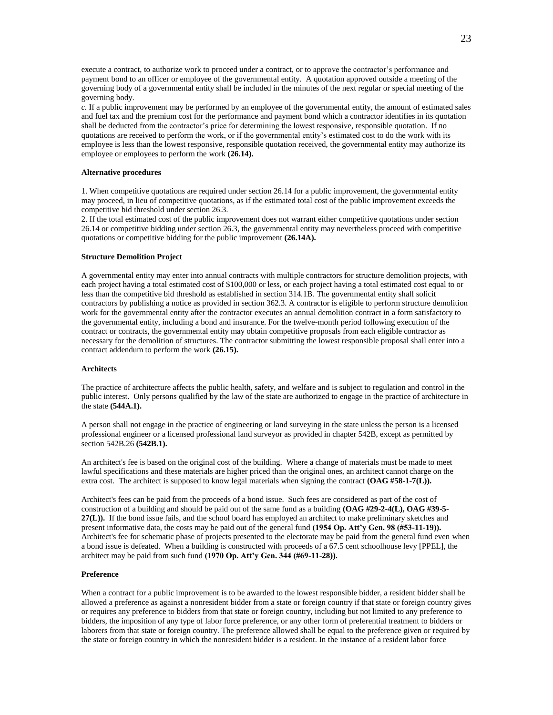execute a contract, to authorize work to proceed under a contract, or to approve the contractor's performance and payment bond to an officer or employee of the governmental entity. A quotation approved outside a meeting of the governing body of a governmental entity shall be included in the minutes of the next regular or special meeting of the governing body.

*c.* If a public improvement may be performed by an employee of the governmental entity, the amount of estimated sales and fuel tax and the premium cost for the performance and payment bond which a contractor identifies in its quotation shall be deducted from the contractor's price for determining the lowest responsive, responsible quotation. If no quotations are received to perform the work, or if the governmental entity's estimated cost to do the work with its employee is less than the lowest responsive, responsible quotation received, the governmental entity may authorize its employee or employees to perform the work **(26.14).**

#### **Alternative procedures**

1. When competitive quotations are required under section 26.14 for a public improvement, the governmental entity may proceed, in lieu of competitive quotations, as if the estimated total cost of the public improvement exceeds the competitive bid threshold under section 26.3.

2. If the total estimated cost of the public improvement does not warrant either competitive quotations under section 26.14 or competitive bidding under section 26.3, the governmental entity may nevertheless proceed with competitive quotations or competitive bidding for the public improvement **(26.14A).**

#### **Structure Demolition Project**

A governmental entity may enter into annual contracts with multiple contractors for structure demolition projects, with each project having a total estimated cost of \$100,000 or less, or each project having a total estimated cost equal to or less than the competitive bid threshold as established in section 314.1B. The governmental entity shall solicit contractors by publishing a notice as provided in section 362.3. A contractor is eligible to perform structure demolition work for the governmental entity after the contractor executes an annual demolition contract in a form satisfactory to the governmental entity, including a bond and insurance. For the twelve-month period following execution of the contract or contracts, the governmental entity may obtain competitive proposals from each eligible contractor as necessary for the demolition of structures. The contractor submitting the lowest responsible proposal shall enter into a contract addendum to perform the work **(26.15).**

#### **Architects**

The practice of architecture affects the public health, safety, and welfare and is subject to regulation and control in the public interest. Only persons qualified by the law of the state are authorized to engage in the practice of architecture in the state **(544A.1).**

A person shall not engage in the practice of engineering or land surveying in the state unless the person is a licensed professional engineer or a licensed professional land surveyor as provided in chapter 542B, except as permitted by section 542B.26 **(542B.1).**

An architect's fee is based on the original cost of the building. Where a change of materials must be made to meet lawful specifications and these materials are higher priced than the original ones, an architect cannot charge on the extra cost. The architect is supposed to know legal materials when signing the contract **(OAG #58-1-7(L)).** 

Architect's fees can be paid from the proceeds of a bond issue. Such fees are considered as part of the cost of construction of a building and should be paid out of the same fund as a building **(OAG #29-2-4(L), OAG #39-5- 27(L)).** If the bond issue fails, and the school board has employed an architect to make preliminary sketches and present informative data, the costs may be paid out of the general fund **(1954 Op. Att'y Gen. 98 (#53-11-19)).** Architect's fee for schematic phase of projects presented to the electorate may be paid from the general fund even when a bond issue is defeated. When a building is constructed with proceeds of a 67.5 cent schoolhouse levy [PPEL], the architect may be paid from such fund **(1970 Op. Att'y Gen. 344 (#69-11-28)).**

#### **Preference**

When a contract for a public improvement is to be awarded to the lowest responsible bidder, a resident bidder shall be allowed a preference as against a nonresident bidder from a state or foreign country if that state or foreign country gives or requires any preference to bidders from that state or foreign country, including but not limited to any preference to bidders, the imposition of any type of labor force preference, or any other form of preferential treatment to bidders or laborers from that state or foreign country. The preference allowed shall be equal to the preference given or required by the state or foreign country in which the nonresident bidder is a resident. In the instance of a resident labor force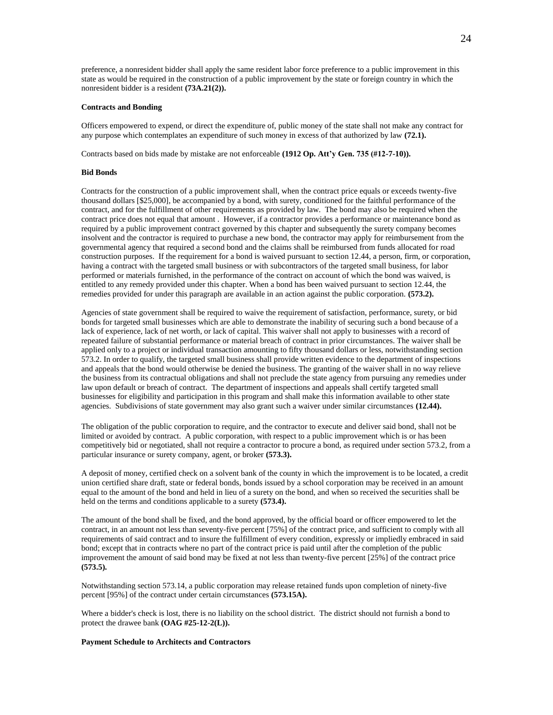preference, a nonresident bidder shall apply the same resident labor force preference to a public improvement in this state as would be required in the construction of a public improvement by the state or foreign country in which the nonresident bidder is a resident **(73A.21(2)).**

#### **Contracts and Bonding**

Officers empowered to expend, or direct the expenditure of, public money of the state shall not make any contract for any purpose which contemplates an expenditure of such money in excess of that authorized by law **(72.1).**

Contracts based on bids made by mistake are not enforceable **(1912 Op. Att'y Gen. 735 (#12-7-10)).**

#### **Bid Bonds**

Contracts for the construction of a public improvement shall, when the contract price equals or exceeds twenty-five thousand dollars [\$25,000], be accompanied by a bond, with surety, conditioned for the faithful performance of the contract, and for the fulfillment of other requirements as provided by law. The bond may also be required when the contract price does not equal that amount . However, if a contractor provides a performance or maintenance bond as required by a public improvement contract governed by this chapter and subsequently the surety company becomes insolvent and the contractor is required to purchase a new bond, the contractor may apply for reimbursement from the governmental agency that required a second bond and the claims shall be reimbursed from funds allocated for road construction purposes. If the requirement for a bond is waived pursuant to section 12.44, a person, firm, or corporation, having a contract with the targeted small business or with subcontractors of the targeted small business, for labor performed or materials furnished, in the performance of the contract on account of which the bond was waived, is entitled to any remedy provided under this chapter. When a bond has been waived pursuant to section 12.44, the remedies provided for under this paragraph are available in an action against the public corporation. **(573.2).**

Agencies of state government shall be required to waive the requirement of satisfaction, performance, surety, or bid bonds for targeted small businesses which are able to demonstrate the inability of securing such a bond because of a lack of experience, lack of net worth, or lack of capital. This waiver shall not apply to businesses with a record of repeated failure of substantial performance or material breach of contract in prior circumstances. The waiver shall be applied only to a project or individual transaction amounting to fifty thousand dollars or less, notwithstanding section 573.2. In order to qualify, the targeted small business shall provide written evidence to the department of inspections and appeals that the bond would otherwise be denied the business. The granting of the waiver shall in no way relieve the business from its contractual obligations and shall not preclude the state agency from pursuing any remedies under law upon default or breach of contract. The department of inspections and appeals shall certify targeted small businesses for eligibility and participation in this program and shall make this information available to other state agencies. Subdivisions of state government may also grant such a waiver under similar circumstances **(12.44).**

The obligation of the public corporation to require, and the contractor to execute and deliver said bond, shall not be limited or avoided by contract. A public corporation, with respect to a public improvement which is or has been competitively bid or negotiated, shall not require a contractor to procure a bond, as required under section 573.2, from a particular insurance or surety company, agent, or broker **(573.3).**

A deposit of money, certified check on a solvent bank of the county in which the improvement is to be located, a credit union certified share draft, state or federal bonds, bonds issued by a school corporation may be received in an amount equal to the amount of the bond and held in lieu of a surety on the bond, and when so received the securities shall be held on the terms and conditions applicable to a surety **(573.4).**

The amount of the bond shall be fixed, and the bond approved, by the official board or officer empowered to let the contract, in an amount not less than seventy-five percent [75%] of the contract price, and sufficient to comply with all requirements of said contract and to insure the fulfillment of every condition, expressly or impliedly embraced in said bond; except that in contracts where no part of the contract price is paid until after the completion of the public improvement the amount of said bond may be fixed at not less than twenty-five percent [25%] of the contract price **(573.5).**

Notwithstanding section 573.14, a public corporation may release retained funds upon completion of ninety-five percent [95%] of the contract under certain circumstances **(573.15A).**

Where a bidder's check is lost, there is no liability on the school district. The district should not furnish a bond to protect the drawee bank **(OAG #25-12-2(L)).**

#### **Payment Schedule to Architects and Contractors**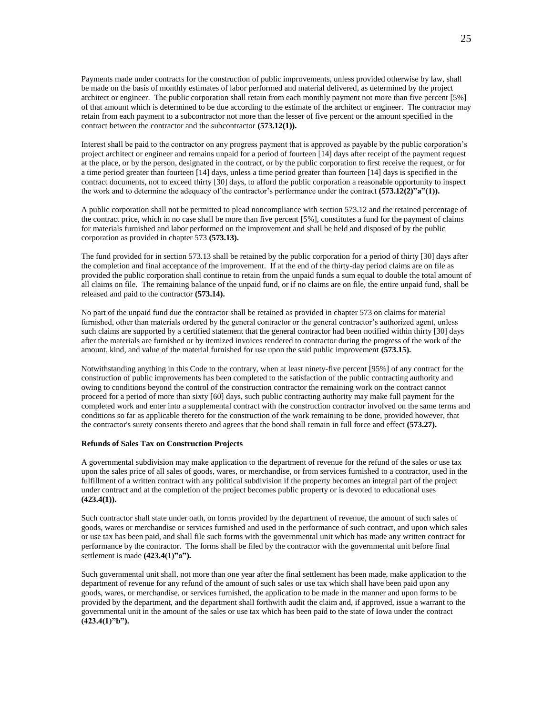Payments made under contracts for the construction of public improvements, unless provided otherwise by law, shall be made on the basis of monthly estimates of labor performed and material delivered, as determined by the project architect or engineer. The public corporation shall retain from each monthly payment not more than five percent [5%] of that amount which is determined to be due according to the estimate of the architect or engineer. The contractor may retain from each payment to a subcontractor not more than the lesser of five percent or the amount specified in the contract between the contractor and the subcontractor **(573.12(1)).**

Interest shall be paid to the contractor on any progress payment that is approved as payable by the public corporation's project architect or engineer and remains unpaid for a period of fourteen [14] days after receipt of the payment request at the place, or by the person, designated in the contract, or by the public corporation to first receive the request, or for a time period greater than fourteen [14] days, unless a time period greater than fourteen [14] days is specified in the contract documents, not to exceed thirty [30] days, to afford the public corporation a reasonable opportunity to inspect the work and to determine the adequacy of the contractor's performance under the contract **(573.12(2)"a"(1)).**

A public corporation shall not be permitted to plead noncompliance with section 573.12 and the retained percentage of the contract price, which in no case shall be more than five percent [5%], constitutes a fund for the payment of claims for materials furnished and labor performed on the improvement and shall be held and disposed of by the public corporation as provided in chapter 573 **(573.13).**

The fund provided for in section 573.13 shall be retained by the public corporation for a period of thirty [30] days after the completion and final acceptance of the improvement. If at the end of the thirty-day period claims are on file as provided the public corporation shall continue to retain from the unpaid funds a sum equal to double the total amount of all claims on file. The remaining balance of the unpaid fund, or if no claims are on file, the entire unpaid fund, shall be released and paid to the contractor **(573.14).**

No part of the unpaid fund due the contractor shall be retained as provided in chapter 573 on claims for material furnished, other than materials ordered by the general contractor or the general contractor's authorized agent, unless such claims are supported by a certified statement that the general contractor had been notified within thirty [30] days after the materials are furnished or by itemized invoices rendered to contractor during the progress of the work of the amount, kind, and value of the material furnished for use upon the said public improvement **(573.15).**

Notwithstanding anything in this Code to the contrary, when at least ninety-five percent [95%] of any contract for the construction of public improvements has been completed to the satisfaction of the public contracting authority and owing to conditions beyond the control of the construction contractor the remaining work on the contract cannot proceed for a period of more than sixty [60] days, such public contracting authority may make full payment for the completed work and enter into a supplemental contract with the construction contractor involved on the same terms and conditions so far as applicable thereto for the construction of the work remaining to be done, provided however, that the contractor's surety consents thereto and agrees that the bond shall remain in full force and effect **(573.27).**

### **Refunds of Sales Tax on Construction Projects**

A governmental subdivision may make application to the department of revenue for the refund of the sales or use tax upon the sales price of all sales of goods, wares, or merchandise, or from services furnished to a contractor, used in the fulfillment of a written contract with any political subdivision if the property becomes an integral part of the project under contract and at the completion of the project becomes public property or is devoted to educational uses **(423.4(1)).**

Such contractor shall state under oath, on forms provided by the department of revenue, the amount of such sales of goods, wares or merchandise or services furnished and used in the performance of such contract, and upon which sales or use tax has been paid, and shall file such forms with the governmental unit which has made any written contract for performance by the contractor. The forms shall be filed by the contractor with the governmental unit before final settlement is made **(423.4(1)"a").**

Such governmental unit shall, not more than one year after the final settlement has been made, make application to the department of revenue for any refund of the amount of such sales or use tax which shall have been paid upon any goods, wares, or merchandise, or services furnished, the application to be made in the manner and upon forms to be provided by the department, and the department shall forthwith audit the claim and, if approved, issue a warrant to the governmental unit in the amount of the sales or use tax which has been paid to the state of Iowa under the contract **(423.4(1)"b").**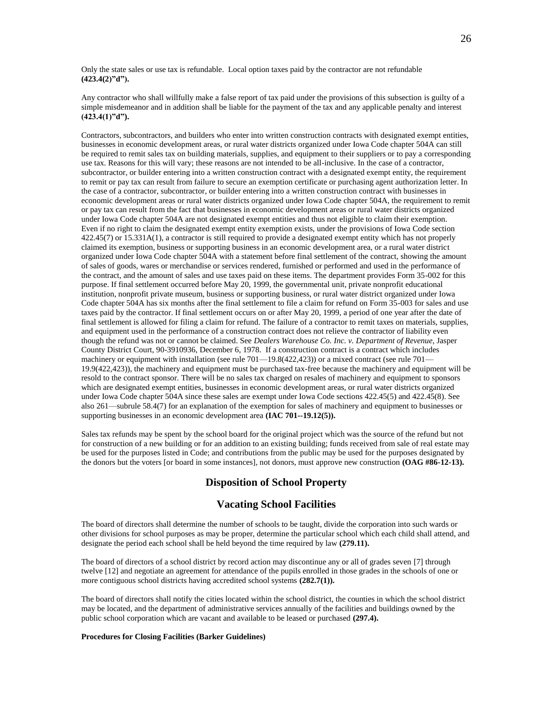Only the state sales or use tax is refundable. Local option taxes paid by the contractor are not refundable **(423.4(2)"d").**

Any contractor who shall willfully make a false report of tax paid under the provisions of this subsection is guilty of a simple misdemeanor and in addition shall be liable for the payment of the tax and any applicable penalty and interest **(423.4(1)"d").**

Contractors, subcontractors, and builders who enter into written construction contracts with designated exempt entities, businesses in economic development areas, or rural water districts organized under Iowa Code chapter 504A can still be required to remit sales tax on building materials, supplies, and equipment to their suppliers or to pay a corresponding use tax. Reasons for this will vary; these reasons are not intended to be all-inclusive. In the case of a contractor, subcontractor, or builder entering into a written construction contract with a designated exempt entity, the requirement to remit or pay tax can result from failure to secure an exemption certificate or purchasing agent authorization letter. In the case of a contractor, subcontractor, or builder entering into a written construction contract with businesses in economic development areas or rural water districts organized under Iowa Code chapter 504A, the requirement to remit or pay tax can result from the fact that businesses in economic development areas or rural water districts organized under Iowa Code chapter 504A are not designated exempt entities and thus not eligible to claim their exemption. Even if no right to claim the designated exempt entity exemption exists, under the provisions of Iowa Code section 422.45(7) or 15.331A(1), a contractor is still required to provide a designated exempt entity which has not properly claimed its exemption, business or supporting business in an economic development area, or a rural water district organized under Iowa Code chapter 504A with a statement before final settlement of the contract, showing the amount of sales of goods, wares or merchandise or services rendered, furnished or performed and used in the performance of the contract, and the amount of sales and use taxes paid on these items. The department provides Form 35-002 for this purpose. If final settlement occurred before May 20, 1999, the governmental unit, private nonprofit educational institution, nonprofit private museum, business or supporting business, or rural water district organized under Iowa Code chapter 504A has six months after the final settlement to file a claim for refund on Form 35-003 for sales and use taxes paid by the contractor. If final settlement occurs on or after May 20, 1999, a period of one year after the date of final settlement is allowed for filing a claim for refund. The failure of a contractor to remit taxes on materials, supplies, and equipment used in the performance of a construction contract does not relieve the contractor of liability even though the refund was not or cannot be claimed. See *Dealers Warehouse Co. Inc. v. Department of Revenue,* Jasper County District Court, 90-3910936, December 6, 1978. If a construction contract is a contract which includes machinery or equipment with installation (see rule 701—19.8(422,423)) or a mixed contract (see rule 701— 19.9(422,423)), the machinery and equipment must be purchased tax-free because the machinery and equipment will be resold to the contract sponsor. There will be no sales tax charged on resales of machinery and equipment to sponsors which are designated exempt entities, businesses in economic development areas, or rural water districts organized under Iowa Code chapter 504A since these sales are exempt under Iowa Code sections 422.45(5) and 422.45(8). See also 261—subrule 58.4(7) for an explanation of the exemption for sales of machinery and equipment to businesses or supporting businesses in an economic development area **(IAC 701--19.12(5)).**

Sales tax refunds may be spent by the school board for the original project which was the source of the refund but not for construction of a new building or for an addition to an existing building; funds received from sale of real estate may be used for the purposes listed in Code; and contributions from the public may be used for the purposes designated by the donors but the voters [or board in some instances], not donors, must approve new construction **(OAG #86-12-13).**

# **Disposition of School Property**

# **Vacating School Facilities**

The board of directors shall determine the number of schools to be taught, divide the corporation into such wards or other divisions for school purposes as may be proper, determine the particular school which each child shall attend, and designate the period each school shall be held beyond the time required by law **(279.11).**

The board of directors of a school district by record action may discontinue any or all of grades seven [7] through twelve [12] and negotiate an agreement for attendance of the pupils enrolled in those grades in the schools of one or more contiguous school districts having accredited school systems **(282.7(1)).**

The board of directors shall notify the cities located within the school district, the counties in which the school district may be located, and the department of administrative services annually of the facilities and buildings owned by the public school corporation which are vacant and available to be leased or purchased **(297.4).**

## **Procedures for Closing Facilities (Barker Guidelines)**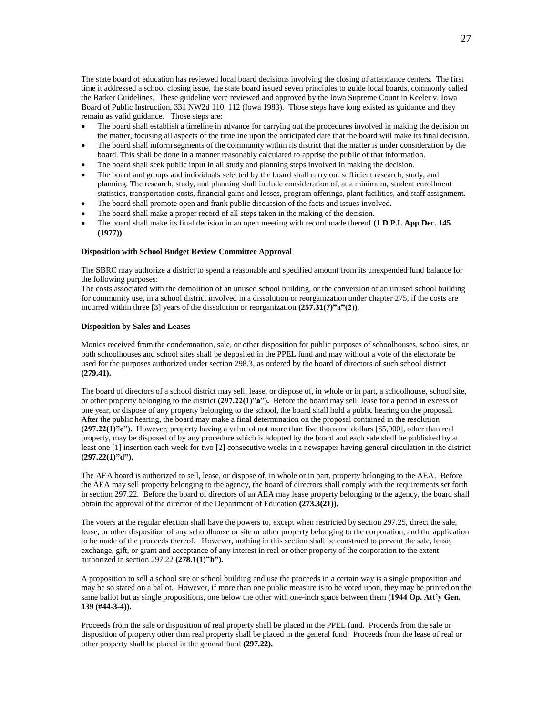The state board of education has reviewed local board decisions involving the closing of attendance centers. The first time it addressed a school closing issue, the state board issued seven principles to guide local boards, commonly called the Barker Guidelines. These guideline were reviewed and approved by the Iowa Supreme Count in Keeler v. Iowa Board of Public Instruction, 331 NW2d 110, 112 (Iowa 1983). Those steps have long existed as guidance and they remain as valid guidance. Those steps are:

- The board shall establish a timeline in advance for carrying out the procedures involved in making the decision on the matter, focusing all aspects of the timeline upon the anticipated date that the board will make its final decision.
- The board shall inform segments of the community within its district that the matter is under consideration by the board. This shall be done in a manner reasonably calculated to apprise the public of that information.
- The board shall seek public input in all study and planning steps involved in making the decision.
- The board and groups and individuals selected by the board shall carry out sufficient research, study, and planning. The research, study, and planning shall include consideration of, at a minimum, student enrollment statistics, transportation costs, financial gains and losses, program offerings, plant facilities, and staff assignment.
- The board shall promote open and frank public discussion of the facts and issues involved.
- The board shall make a proper record of all steps taken in the making of the decision.
- The board shall make its final decision in an open meeting with record made thereof **(1 D.P.I. App Dec. 145 (1977)).**

#### **Disposition with School Budget Review Committee Approval**

The SBRC may authorize a district to spend a reasonable and specified amount from its unexpended fund balance for the following purposes:

The costs associated with the demolition of an unused school building, or the conversion of an unused school building for community use, in a school district involved in a dissolution or reorganization under chapter 275, if the costs are incurred within three [3] years of the dissolution or reorganization **(257.31(7)"a"(2)).**

### **Disposition by Sales and Leases**

Monies received from the condemnation, sale, or other disposition for public purposes of schoolhouses, school sites, or both schoolhouses and school sites shall be deposited in the PPEL fund and may without a vote of the electorate be used for the purposes authorized under section 298.3, as ordered by the board of directors of such school district **(279.41).**

The board of directors of a school district may sell, lease, or dispose of, in whole or in part, a schoolhouse, school site, or other property belonging to the district **(297.22(1)"a").** Before the board may sell, lease for a period in excess of one year, or dispose of any property belonging to the school, the board shall hold a public hearing on the proposal. After the public hearing, the board may make a final determination on the proposal contained in the resolution **(297.22(1)"c").** However, property having a value of not more than five thousand dollars [\$5,000], other than real property, may be disposed of by any procedure which is adopted by the board and each sale shall be published by at least one [1] insertion each week for two [2] consecutive weeks in a newspaper having general circulation in the district **(297.22(1)"d").**

The AEA board is authorized to sell, lease, or dispose of, in whole or in part, property belonging to the AEA. Before the AEA may sell property belonging to the agency, the board of directors shall comply with the requirements set forth in section 297.22. Before the board of directors of an AEA may lease property belonging to the agency, the board shall obtain the approval of the director of the Department of Education **(273.3(21)).**

The voters at the regular election shall have the powers to, except when restricted by section 297.25, direct the sale, lease, or other disposition of any schoolhouse or site or other property belonging to the corporation, and the application to be made of the proceeds thereof. However, nothing in this section shall be construed to prevent the sale, lease, exchange, gift, or grant and acceptance of any interest in real or other property of the corporation to the extent authorized in section 297.22 **(278.1(1)"b").**

A proposition to sell a school site or school building and use the proceeds in a certain way is a single proposition and may be so stated on a ballot. However, if more than one public measure is to be voted upon, they may be printed on the same ballot but as single propositions, one below the other with one-inch space between them **(1944 Op. Att'y Gen. 139 (#44-3-4)).**

Proceeds from the sale or disposition of real property shall be placed in the PPEL fund. Proceeds from the sale or disposition of property other than real property shall be placed in the general fund. Proceeds from the lease of real or other property shall be placed in the general fund **(297.22).**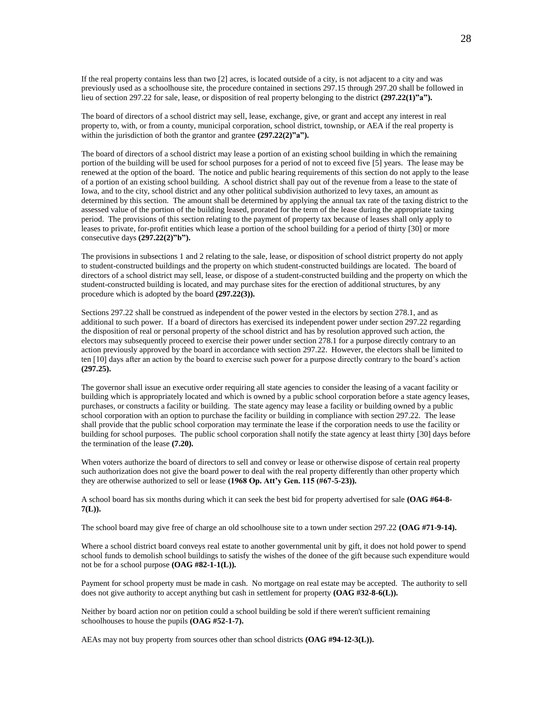If the real property contains less than two [2] acres, is located outside of a city, is not adjacent to a city and was previously used as a schoolhouse site, the procedure contained in sections 297.15 through 297.20 shall be followed in lieu of section 297.22 for sale, lease, or disposition of real property belonging to the district **(297.22(1)"a").**

The board of directors of a school district may sell, lease, exchange, give, or grant and accept any interest in real property to, with, or from a county, municipal corporation, school district, township, or AEA if the real property is within the jurisdiction of both the grantor and grantee  $(297.22(2)<sup>n</sup>a<sup>n</sup>)$ .

The board of directors of a school district may lease a portion of an existing school building in which the remaining portion of the building will be used for school purposes for a period of not to exceed five [5] years. The lease may be renewed at the option of the board. The notice and public hearing requirements of this section do not apply to the lease of a portion of an existing school building. A school district shall pay out of the revenue from a lease to the state of Iowa, and to the city, school district and any other political subdivision authorized to levy taxes, an amount as determined by this section. The amount shall be determined by applying the annual tax rate of the taxing district to the assessed value of the portion of the building leased, prorated for the term of the lease during the appropriate taxing period. The provisions of this section relating to the payment of property tax because of leases shall only apply to leases to private, for-profit entities which lease a portion of the school building for a period of thirty [30] or more consecutive days **(297.22(2)"b").**

The provisions in subsections 1 and 2 relating to the sale, lease, or disposition of school district property do not apply to student-constructed buildings and the property on which student-constructed buildings are located. The board of directors of a school district may sell, lease, or dispose of a student-constructed building and the property on which the student-constructed building is located, and may purchase sites for the erection of additional structures, by any procedure which is adopted by the board **(297.22(3)).**

Sections 297.22 shall be construed as independent of the power vested in the electors by section 278.1, and as additional to such power. If a board of directors has exercised its independent power under section 297.22 regarding the disposition of real or personal property of the school district and has by resolution approved such action, the electors may subsequently proceed to exercise their power under section 278.1 for a purpose directly contrary to an action previously approved by the board in accordance with section 297.22. However, the electors shall be limited to ten [10] days after an action by the board to exercise such power for a purpose directly contrary to the board's action **(297.25).**

The governor shall issue an executive order requiring all state agencies to consider the leasing of a vacant facility or building which is appropriately located and which is owned by a public school corporation before a state agency leases, purchases, or constructs a facility or building. The state agency may lease a facility or building owned by a public school corporation with an option to purchase the facility or building in compliance with section 297.22. The lease shall provide that the public school corporation may terminate the lease if the corporation needs to use the facility or building for school purposes. The public school corporation shall notify the state agency at least thirty [30] days before the termination of the lease **(7.20).**

When voters authorize the board of directors to sell and convey or lease or otherwise dispose of certain real property such authorization does not give the board power to deal with the real property differently than other property which they are otherwise authorized to sell or lease **(1968 Op. Att'y Gen. 115 (#67-5-23)).**

A school board has six months during which it can seek the best bid for property advertised for sale **(OAG #64-8- 7(L)).**

The school board may give free of charge an old schoolhouse site to a town under section 297.22 **(OAG #71-9-14).**

Where a school district board conveys real estate to another governmental unit by gift, it does not hold power to spend school funds to demolish school buildings to satisfy the wishes of the donee of the gift because such expenditure would not be for a school purpose **(OAG #82-1-1(L)).**

Payment for school property must be made in cash. No mortgage on real estate may be accepted. The authority to sell does not give authority to accept anything but cash in settlement for property **(OAG #32-8-6(L)).**

Neither by board action nor on petition could a school building be sold if there weren't sufficient remaining schoolhouses to house the pupils **(OAG #52-1-7).**

AEAs may not buy property from sources other than school districts **(OAG #94-12-3(L)).**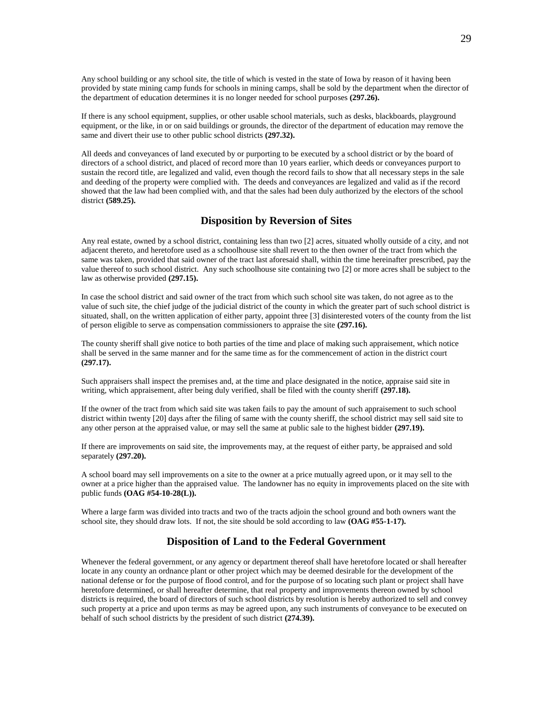Any school building or any school site, the title of which is vested in the state of Iowa by reason of it having been provided by state mining camp funds for schools in mining camps, shall be sold by the department when the director of the department of education determines it is no longer needed for school purposes **(297.26).**

If there is any school equipment, supplies, or other usable school materials, such as desks, blackboards, playground equipment, or the like, in or on said buildings or grounds, the director of the department of education may remove the same and divert their use to other public school districts **(297.32).**

All deeds and conveyances of land executed by or purporting to be executed by a school district or by the board of directors of a school district, and placed of record more than 10 years earlier, which deeds or conveyances purport to sustain the record title, are legalized and valid, even though the record fails to show that all necessary steps in the sale and deeding of the property were complied with. The deeds and conveyances are legalized and valid as if the record showed that the law had been complied with, and that the sales had been duly authorized by the electors of the school district **(589.25).**

## **Disposition by Reversion of Sites**

Any real estate, owned by a school district, containing less than two [2] acres, situated wholly outside of a city, and not adjacent thereto, and heretofore used as a schoolhouse site shall revert to the then owner of the tract from which the same was taken, provided that said owner of the tract last aforesaid shall, within the time hereinafter prescribed, pay the value thereof to such school district. Any such schoolhouse site containing two [2] or more acres shall be subject to the law as otherwise provided **(297.15).**

In case the school district and said owner of the tract from which such school site was taken, do not agree as to the value of such site, the chief judge of the judicial district of the county in which the greater part of such school district is situated, shall, on the written application of either party, appoint three [3] disinterested voters of the county from the list of person eligible to serve as compensation commissioners to appraise the site **(297.16).**

The county sheriff shall give notice to both parties of the time and place of making such appraisement, which notice shall be served in the same manner and for the same time as for the commencement of action in the district court **(297.17).**

Such appraisers shall inspect the premises and, at the time and place designated in the notice, appraise said site in writing, which appraisement, after being duly verified, shall be filed with the county sheriff **(297.18).**

If the owner of the tract from which said site was taken fails to pay the amount of such appraisement to such school district within twenty [20] days after the filing of same with the county sheriff, the school district may sell said site to any other person at the appraised value, or may sell the same at public sale to the highest bidder **(297.19).**

If there are improvements on said site, the improvements may, at the request of either party, be appraised and sold separately **(297.20).**

A school board may sell improvements on a site to the owner at a price mutually agreed upon, or it may sell to the owner at a price higher than the appraised value. The landowner has no equity in improvements placed on the site with public funds **(OAG #54-10-28(L)).**

Where a large farm was divided into tracts and two of the tracts adjoin the school ground and both owners want the school site, they should draw lots. If not, the site should be sold according to law **(OAG #55-1-17).**

# **Disposition of Land to the Federal Government**

Whenever the federal government, or any agency or department thereof shall have heretofore located or shall hereafter locate in any county an ordnance plant or other project which may be deemed desirable for the development of the national defense or for the purpose of flood control, and for the purpose of so locating such plant or project shall have heretofore determined, or shall hereafter determine, that real property and improvements thereon owned by school districts is required, the board of directors of such school districts by resolution is hereby authorized to sell and convey such property at a price and upon terms as may be agreed upon, any such instruments of conveyance to be executed on behalf of such school districts by the president of such district **(274.39).**